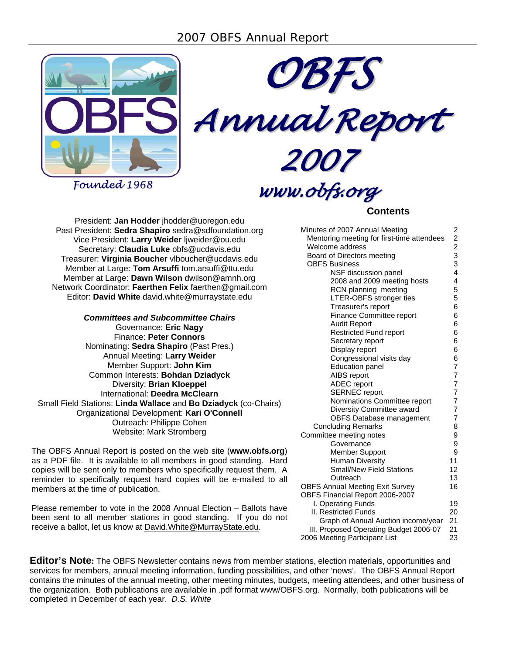



*Founded 1968*

# *www.obfs.org*

# **Contents**

President: **Jan Hodder** jhodder@uoregon.edu Past President: **Sedra Shapiro** sedra@sdfoundation.org Vice President: **Larry Weider** ljweider@ou.edu Secretary: **Claudia Luke** obfs@ucdavis.edu Treasurer: **Virginia Boucher** vlboucher@ucdavis.edu Member at Large: **Tom Arsuffi** tom.arsuffi@ttu.edu Member at Large: **Dawn Wilson** dwilson@amnh.org Network Coordinator: **Faerthen Felix** faerthen@gmail.com Editor: **David White** david.white@murraystate.edu

# *Committees and Subcommittee Chairs*

Governance: **Eric Nagy** Finance: **Peter Connors** Nominating: **Sedra Shapiro** (Past Pres.) Annual Meeting: **Larry Weider** Member Support: **John Kim** Common Interests: **Bohdan Dziadyck** Diversity: **Brian Kloeppel** International: **Deedra McClearn** Small Field Stations: **Linda Wallace** and **Bo Dziadyck** (co-Chairs) Organizational Development: **Kari O'Connell** Outreach: Philippe Cohen Website: Mark Stromberg

The OBFS Annual Report is posted on the web site (**www.obfs.org**) as a PDF file. It is available to all members in good standing. Hard copies will be sent only to members who specifically request them. A reminder to specifically request hard copies will be e-mailed to all members at the time of publication.

Please remember to vote in the 2008 Annual Election – Ballots have been sent to all member stations in good standing. If you do not receive a ballot, let us know at David.White@MurrayState.edu.

| Minutes of 2007 Annual Meeting             |                 |
|--------------------------------------------|-----------------|
| Mentoring meeting for first-time attendees |                 |
| Welcome address                            | 222334          |
| Board of Directors meeting                 |                 |
| <b>OBFS Business</b>                       |                 |
| NSF discussion panel                       |                 |
| 2008 and 2009 meeting hosts                | 4               |
| RCN planning meeting                       | 5               |
| LTER-OBFS stronger ties                    | 5               |
| Treasurer's report                         | 6               |
| Finance Committee report                   | 6               |
| Audit Report                               | 6               |
| <b>Restricted Fund report</b>              | 6               |
| Secretary report                           | 6               |
| Display report                             | 6               |
| Congressional visits day                   | 6               |
| <b>Education panel</b>                     | $\overline{7}$  |
| AIBS report                                | 7               |
| <b>ADEC</b> report                         | $\overline{7}$  |
| <b>SERNEC</b> report                       | $\frac{7}{7}$   |
| Nominations Committee report               |                 |
| Diversity Committee award                  | $\overline{7}$  |
| OBFS Database management                   | $\overline{7}$  |
| <b>Concluding Remarks</b>                  | 8               |
| Committee meeting notes                    | 9               |
| Governance                                 | 9               |
| Member Support                             | 9               |
| <b>Human Diversity</b>                     | 11              |
| <b>Small/New Field Stations</b>            | 12 <sup>2</sup> |
| Outreach                                   | 13              |
| <b>OBFS Annual Meeting Exit Survey</b>     | 16              |
| OBFS Financial Report 2006-2007            |                 |
| I. Operating Funds                         | 19              |
| <b>II. Restricted Funds</b>                | 20              |
| Graph of Annual Auction income/year        | 21              |
| III. Proposed Operating Budget 2006-07     | 21              |
| 2006 Meeting Participant List              | 23              |

**Editor's Note:** The OBFS Newsletter contains news from member stations, election materials, opportunities and services for members, annual meeting information, funding possibilities, and other 'news'. The OBFS Annual Report contains the minutes of the annual meeting, other meeting minutes, budgets, meeting attendees, and other business of the organization. Both publications are available in .pdf format www/OBFS.org. Normally, both publications will be completed in December of each year. *D.S. White*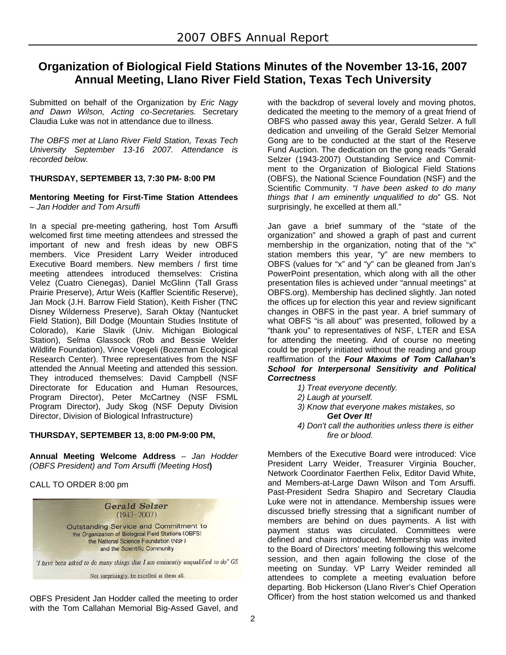# **Organization of Biological Field Stations Minutes of the November 13-16, 2007 Annual Meeting, Llano River Field Station, Texas Tech University**

Submitted on behalf of the Organization by *Eric Nagy and Dawn Wilson, Acting co-Secretaries.* Secretary Claudia Luke was not in attendance due to illness.

*The OBFS met at Llano River Field Station, Texas Tech University September 13-16 2007. Attendance is recorded below.* 

# **THURSDAY, SEPTEMBER 13, 7:30 PM- 8:00 PM**

### **Mentoring Meeting for First-Time Station Attendees**  *– Jan Hodder and Tom Arsuffi*

In a special pre-meeting gathering, host Tom Arsuffi welcomed first time meeting attendees and stressed the important of new and fresh ideas by new OBFS members. Vice President Larry Weider introduced Executive Board members. New members / first time meeting attendees introduced themselves: Cristina Velez (Cuatro Cienegas), Daniel McGlinn (Tall Grass Prairie Preserve), Artur Weis (Kaffler Scientific Reserve), Jan Mock (J.H. Barrow Field Station), Keith Fisher (TNC Disney Wilderness Preserve), Sarah Oktay (Nantucket Field Station), Bill Dodge (Mountain Studies Institute of Colorado), Karie Slavik (Univ. Michigan Biological Station), Selma Glassock (Rob and Bessie Welder Wildlife Foundation), Vince Voegeli (Bozeman Ecological Research Center). Three representatives from the NSF attended the Annual Meeting and attended this session. They introduced themselves: David Campbell (NSF Directorate for Education and Human Resources, Program Director), Peter McCartney (NSF FSML Program Director), Judy Skog (NSF Deputy Division Director, Division of Biological Infrastructure)

# **THURSDAY, SEPTEMBER 13, 8:00 PM-9:00 PM,**

**Annual Meeting Welcome Address** *– Jan Hodder (OBFS President) and Tom Arsuffi (Meeting Host***)** 

CALL TO ORDER 8:00 pm



OBFS President Jan Hodder called the meeting to order with the Tom Callahan Memorial Big-Assed Gavel, and with the backdrop of several lovely and moving photos, dedicated the meeting to the memory of a great friend of OBFS who passed away this year, Gerald Selzer. A full dedication and unveiling of the Gerald Selzer Memorial Gong are to be conducted at the start of the Reserve Fund Auction. The dedication on the gong reads "Gerald Selzer (1943-2007) Outstanding Service and Commitment to the Organization of Biological Field Stations (OBFS), the National Science Foundation (NSF) and the Scientific Community. *"I have been asked to do many things that I am eminently unqualified to do*" GS. Not surprisingly, he excelled at them all."

Jan gave a brief summary of the "state of the organization" and showed a graph of past and current membership in the organization, noting that of the "x" station members this year, "y" are new members to OBFS (values for "x" and "y" can be gleaned from Jan's PowerPoint presentation, which along with all the other presentation files is achieved under "annual meetings" at OBFS.org). Membership has declined slightly. Jan noted the offices up for election this year and review significant changes in OBFS in the past year. A brief summary of what OBFS "is all about" was presented, followed by a "thank you" to representatives of NSF, LTER and ESA for attending the meeting. And of course no meeting could be properly initiated without the reading and group reaffirmation of the *Four Maxims of Tom Callahan's School for Interpersonal Sensitivity and Political Correctness* 

- *1) Treat everyone decently.*
- *2) Laugh at yourself.*
- *3) Know that everyone makes mistakes, so Get Over It!*
- *4) Don't call the authorities unless there is either* 
	- *fire or blood.*

Members of the Executive Board were introduced: Vice President Larry Weider, Treasurer Virginia Boucher, Network Coordinator Faerthen Felix, Editor David White, and Members-at-Large Dawn Wilson and Tom Arsuffi. Past-President Sedra Shapiro and Secretary Claudia Luke were not in attendance. Membership issues were discussed briefly stressing that a significant number of members are behind on dues payments. A list with payment status was circulated. Committees were defined and chairs introduced. Membership was invited to the Board of Directors' meeting following this welcome session, and then again following the close of the meeting on Sunday. VP Larry Weider reminded all attendees to complete a meeting evaluation before departing. Bob Hickerson (Llano River's Chief Operation Officer) from the host station welcomed us and thanked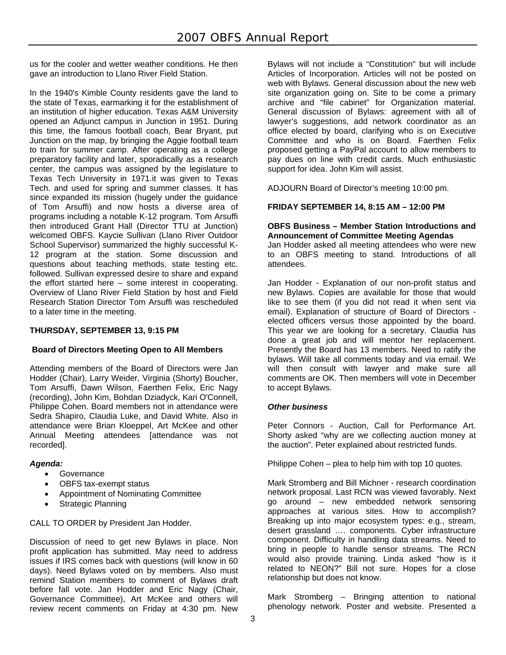us for the cooler and wetter weather conditions. He then gave an introduction to Llano River Field Station.

In the 1940's Kimble County residents gave the land to the state of Texas, earmarking it for the establishment of an institution of higher education. Texas A&M University opened an Adjunct campus in Junction in 1951. During this time, the famous football coach, Bear Bryant, put Junction on the map, by bringing the Aggie football team to train for summer camp. After operating as a college preparatory facility and later, sporadically as a research center, the campus was assigned by the legislature to Texas Tech University in 1971.it was given to Texas Tech. and used for spring and summer classes. It has since expanded its mission (hugely under the guidance of Tom Arsuffi) and now hosts a diverse area of programs including a notable K-12 program. Tom Arsuffi then introduced Grant Hall (Director TTU at Junction) welcomed OBFS. Kaycie Sullivan (Llano River Outdoor School Supervisor) summarized the highly successful K-12 program at the station. Some discussion and questions about teaching methods, state testing etc. followed. Sullivan expressed desire to share and expand the effort started here – some interest in cooperating. Overview of Llano River Field Station by host and Field Research Station Director Tom Arsuffi was rescheduled to a later time in the meeting.

# **THURSDAY, SEPTEMBER 13, 9:15 PM**

# **Board of Directors Meeting Open to All Members**

Attending members of the Board of Directors were Jan Hodder (Chair), Larry Weider, Virginia (Shorty) Boucher, Tom Arsuffi, Dawn Wilson, Faerthen Felix, Eric Nagy (recording), John Kim, Bohdan Dziadyck, Kari O'Connell, Philippe Cohen. Board members not in attendance were Sedra Shapiro, Claudia Luke, and David White. Also in attendance were Brian Kloeppel, Art McKee and other Annual Meeting attendees [attendance was not recorded].

# *Agenda:*

- Governance
- OBFS tax-exempt status
- Appointment of Nominating Committee
- Strategic Planning

CALL TO ORDER by President Jan Hodder.

Discussion of need to get new Bylaws in place. Non profit application has submitted. May need to address issues if IRS comes back with questions (will know in 60 days). Need Bylaws voted on by members. Also must remind Station members to comment of Bylaws draft before fall vote. Jan Hodder and Eric Nagy (Chair, Governance Committee), Art McKee and others will review recent comments on Friday at 4:30 pm. New

Bylaws will not include a "Constitution" but will include Articles of Incorporation. Articles will not be posted on web with Bylaws. General discussion about the new web site organization going on. Site to be come a primary archive and "file cabinet" for Organization material. General discussion of Bylaws: agreement with all of lawyer's suggestions, add network coordinator as an office elected by board, clarifying who is on Executive Committee and who is on Board. Faerthen Felix proposed getting a PayPal account to allow members to pay dues on line with credit cards. Much enthusiastic support for idea. John Kim will assist.

ADJOURN Board of Director's meeting 10:00 pm.

# **FRIDAY SEPTEMBER 14, 8:15 AM – 12:00 PM**

### **OBFS Business – Member Station Introductions and Announcement of Committee Meeting Agendas**

Jan Hodder asked all meeting attendees who were new to an OBFS meeting to stand. Introductions of all attendees.

Jan Hodder - Explanation of our non-profit status and new Bylaws. Copies are available for those that would like to see them (if you did not read it when sent via email). Explanation of structure of Board of Directors elected officers versus those appointed by the board. This year we are looking for a secretary. Claudia has done a great job and will mentor her replacement. Presently the Board has 13 members. Need to ratify the bylaws. Will take all comments today and via email. We will then consult with lawyer and make sure all comments are OK. Then members will vote in December to accept Bylaws.

### *Other business*

Peter Connors - Auction, Call for Performance Art. Shorty asked "why are we collecting auction money at the auction". Peter explained about restricted funds.

Philippe Cohen – plea to help him with top 10 quotes.

Mark Stromberg and Bill Michner - research coordination network proposal. Last RCN was viewed favorably. Next go around – new embedded network sensoring approaches at various sites. How to accomplish? Breaking up into major ecosystem types: e.g., stream, desert grassland …. components. Cyber infrastructure component. Difficulty in handling data streams. Need to bring in people to handle sensor streams. The RCN would also provide training. Linda asked "how is it related to NEON?" Bill not sure. Hopes for a close relationship but does not know.

Mark Stromberg – Bringing attention to national phenology network. Poster and website. Presented a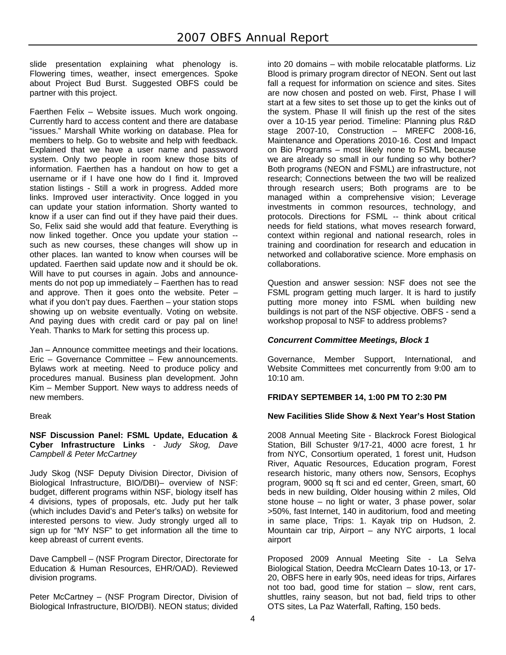slide presentation explaining what phenology is. Flowering times, weather, insect emergences. Spoke about Project Bud Burst. Suggested OBFS could be partner with this project.

Faerthen Felix – Website issues. Much work ongoing. Currently hard to access content and there are database "issues." Marshall White working on database. Plea for members to help. Go to website and help with feedback. Explained that we have a user name and password system. Only two people in room knew those bits of information. Faerthen has a handout on how to get a username or if I have one how do I find it. Improved station listings - Still a work in progress. Added more links. Improved user interactivity. Once logged in you can update your station information. Shorty wanted to know if a user can find out if they have paid their dues. So, Felix said she would add that feature. Everything is now linked together. Once you update your station - such as new courses, these changes will show up in other places. Ian wanted to know when courses will be updated. Faerthen said update now and it should be ok. Will have to put courses in again. Jobs and announcements do not pop up immediately – Faerthen has to read and approve. Then it goes onto the website. Peter – what if you don't pay dues. Faerthen – your station stops showing up on website eventually. Voting on website. And paying dues with credit card or pay pal on line! Yeah. Thanks to Mark for setting this process up.

Jan – Announce committee meetings and their locations. Eric – Governance Committee – Few announcements. Bylaws work at meeting. Need to produce policy and procedures manual. Business plan development. John Kim – Member Support. New ways to address needs of new members.

### Break

**NSF Discussion Panel: FSML Update, Education & Cyber Infrastructure Links** *- Judy Skog, Dave Campbell & Peter McCartney* 

Judy Skog (NSF Deputy Division Director, Division of Biological Infrastructure, BIO/DBI)– overview of NSF: budget, different programs within NSF, biology itself has 4 divisions, types of proposals, etc. Judy put her talk (which includes David's and Peter's talks) on website for interested persons to view. Judy strongly urged all to sign up for "MY NSF" to get information all the time to keep abreast of current events.

Dave Campbell – (NSF Program Director, Directorate for Education & Human Resources, EHR/OAD). Reviewed division programs.

Peter McCartney – (NSF Program Director, Division of Biological Infrastructure, BIO/DBI). NEON status; divided

into 20 domains – with mobile relocatable platforms. Liz Blood is primary program director of NEON. Sent out last fall a request for information on science and sites. Sites are now chosen and posted on web. First, Phase I will start at a few sites to set those up to get the kinks out of the system. Phase II will finish up the rest of the sites over a 10-15 year period. Timeline: Planning plus R&D stage 2007-10, Construction – MREFC 2008-16, Maintenance and Operations 2010-16. Cost and Impact on Bio Programs – most likely none to FSML because we are already so small in our funding so why bother? Both programs (NEON and FSML) are infrastructure, not research; Connections between the two will be realized through research users; Both programs are to be managed within a comprehensive vision; Leverage investments in common resources, technology, and protocols. Directions for FSML -- think about critical needs for field stations, what moves research forward, context within regional and national research, roles in training and coordination for research and education in networked and collaborative science. More emphasis on collaborations.

Question and answer session: NSF does not see the FSML program getting much larger. It is hard to justify putting more money into FSML when building new buildings is not part of the NSF objective. OBFS - send a workshop proposal to NSF to address problems?

# *Concurrent Committee Meetings, Block 1*

Governance, Member Support, International, and Website Committees met concurrently from 9:00 am to 10:10 am.

# **FRIDAY SEPTEMBER 14, 1:00 PM TO 2:30 PM**

### **New Facilities Slide Show & Next Year's Host Station**

2008 Annual Meeting Site - Blackrock Forest Biological Station, Bill Schuster 9/17-21, 4000 acre forest, 1 hr from NYC, Consortium operated, 1 forest unit, Hudson River, Aquatic Resources, Education program, Forest research historic, many others now, Sensors, Ecophys program, 9000 sq ft sci and ed center, Green, smart, 60 beds in new building, Older housing within 2 miles, Old stone house – no light or water, 3 phase power, solar >50%, fast Internet, 140 in auditorium, food and meeting in same place, Trips: 1. Kayak trip on Hudson, 2. Mountain car trip, Airport – any NYC airports, 1 local airport

Proposed 2009 Annual Meeting Site - La Selva Biological Station, Deedra McClearn Dates 10-13, or 17- 20, OBFS here in early 90s, need ideas for trips, Airfares not too bad, good time for station – slow, rent cars, shuttles, rainy season, but not bad, field trips to other OTS sites, La Paz Waterfall, Rafting, 150 beds.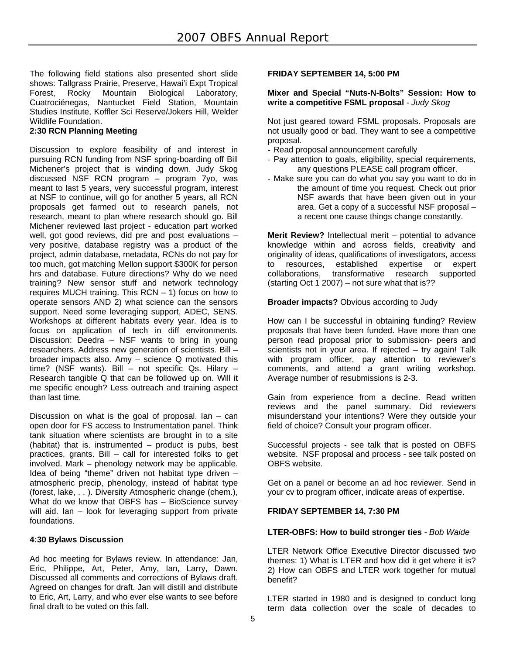The following field stations also presented short slide shows: Tallgrass Prairie, Preserve, Hawai'i Expt Tropical Forest, Rocky Mountain Biological Laboratory, Cuatrociénegas, Nantucket Field Station, Mountain Studies Institute, Koffler Sci Reserve/Jokers Hill, Welder Wildlife Foundation.

### **2:30 RCN Planning Meeting**

Discussion to explore feasibility of and interest in pursuing RCN funding from NSF spring-boarding off Bill Michener's project that is winding down. Judy Skog discussed NSF RCN program – program 7yo, was meant to last 5 years, very successful program, interest at NSF to continue, will go for another 5 years, all RCN proposals get farmed out to research panels, not research, meant to plan where research should go. Bill Michener reviewed last project - education part worked well, got good reviews, did pre and post evaluations – very positive, database registry was a product of the project, admin database, metadata, RCNs do not pay for too much, got matching Mellon support \$300K for person hrs and database. Future directions? Why do we need training? New sensor stuff and network technology requires MUCH training. This RCN – 1) focus on how to operate sensors AND 2) what science can the sensors support. Need some leveraging support, ADEC, SENS. Workshops at different habitats every year. Idea is to focus on application of tech in diff environments. Discussion: Deedra – NSF wants to bring in young researchers. Address new generation of scientists. Bill – broader impacts also. Amy – science Q motivated this time? (NSF wants). Bill – not specific Qs. Hilary – Research tangible Q that can be followed up on. Will it me specific enough? Less outreach and training aspect than last time.

Discussion on what is the goal of proposal. Ian  $-$  can open door for FS access to Instrumentation panel. Think tank situation where scientists are brought in to a site (habitat) that is. instrumented – product is pubs, best practices, grants. Bill – call for interested folks to get involved. Mark – phenology network may be applicable. Idea of being "theme" driven not habitat type driven – atmospheric precip, phenology, instead of habitat type (forest, lake, . . ). Diversity Atmospheric change (chem.), What do we know that OBFS has - BioScience survey will aid. Ian – look for leveraging support from private foundations.

### **4:30 Bylaws Discussion**

Ad hoc meeting for Bylaws review. In attendance: Jan, Eric, Philippe, Art, Peter, Amy, Ian, Larry, Dawn. Discussed all comments and corrections of Bylaws draft. Agreed on changes for draft. Jan will distill and distribute to Eric, Art, Larry, and who ever else wants to see before final draft to be voted on this fall.

### **FRIDAY SEPTEMBER 14, 5:00 PM**

### **Mixer and Special "Nuts-N-Bolts" Session: How to write a competitive FSML proposal** *- Judy Skog*

Not just geared toward FSML proposals. Proposals are not usually good or bad. They want to see a competitive proposal.

- Read proposal announcement carefully
- Pay attention to goals, eligibility, special requirements, any questions PLEASE call program officer.
- Make sure you can do what you say you want to do in the amount of time you request. Check out prior NSF awards that have been given out in your area. Get a copy of a successful NSF proposal – a recent one cause things change constantly.

**Merit Review?** Intellectual merit – potential to advance knowledge within and across fields, creativity and originality of ideas, qualifications of investigators, access to resources, established expertise or expert collaborations, transformative research supported (starting Oct 1 2007) – not sure what that is??

**Broader impacts?** Obvious according to Judy

How can I be successful in obtaining funding? Review proposals that have been funded. Have more than one person read proposal prior to submission- peers and scientists not in your area. If rejected – try again! Talk with program officer, pay attention to reviewer's comments, and attend a grant writing workshop. Average number of resubmissions is 2-3.

Gain from experience from a decline. Read written reviews and the panel summary. Did reviewers misunderstand your intentions? Were they outside your field of choice? Consult your program officer.

Successful projects - see talk that is posted on OBFS website. NSF proposal and process - see talk posted on OBFS website.

Get on a panel or become an ad hoc reviewer. Send in your cv to program officer, indicate areas of expertise.

### **FRIDAY SEPTEMBER 14, 7:30 PM**

### **LTER-OBFS: How to build stronger ties** *- Bob Waide*

LTER Network Office Executive Director discussed two themes: 1) What is LTER and how did it get where it is? 2) How can OBFS and LTER work together for mutual benefit?

LTER started in 1980 and is designed to conduct long term data collection over the scale of decades to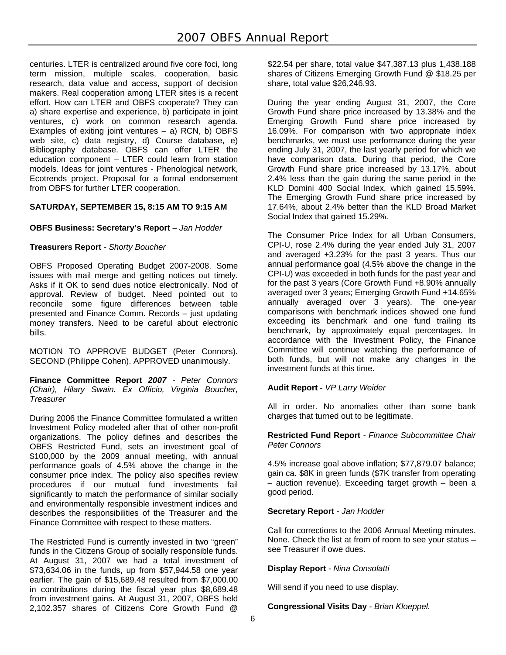centuries. LTER is centralized around five core foci, long term mission, multiple scales, cooperation, basic research, data value and access, support of decision makers. Real cooperation among LTER sites is a recent effort. How can LTER and OBFS cooperate? They can a) share expertise and experience, b) participate in joint ventures, c) work on common research agenda. Examples of exiting joint ventures  $-$  a) RCN, b) OBFS web site, c) data registry, d) Course database, e) Bibliography database. OBFS can offer LTER the education component – LTER could learn from station models. Ideas for joint ventures - Phenological network, Ecotrends project. Proposal for a formal endorsement from OBFS for further LTER cooperation.

# **SATURDAY, SEPTEMBER 15, 8:15 AM TO 9:15 AM**

# **OBFS Business: Secretary's Report** *– Jan Hodder*

### **Treasurers Report** *- Shorty Boucher*

OBFS Proposed Operating Budget 2007-2008. Some issues with mail merge and getting notices out timely. Asks if it OK to send dues notice electronically. Nod of approval. Review of budget. Need pointed out to reconcile some figure differences between table presented and Finance Comm. Records – just updating money transfers. Need to be careful about electronic bills.

MOTION TO APPROVE BUDGET (Peter Connors). SECOND (Philippe Cohen). APPROVED unanimously.

**Finance Committee Report** *2007 - Peter Connors (Chair), Hilary Swain. Ex Officio, Virginia Boucher, Treasurer* 

During 2006 the Finance Committee formulated a written Investment Policy modeled after that of other non-profit organizations. The policy defines and describes the OBFS Restricted Fund, sets an investment goal of \$100,000 by the 2009 annual meeting, with annual performance goals of 4.5% above the change in the consumer price index. The policy also specifies review procedures if our mutual fund investments fail significantly to match the performance of similar socially and environmentally responsible investment indices and describes the responsibilities of the Treasurer and the Finance Committee with respect to these matters.

The Restricted Fund is currently invested in two "green" funds in the Citizens Group of socially responsible funds. At August 31, 2007 we had a total investment of \$73,634.06 in the funds, up from \$57,944.58 one year earlier. The gain of \$15,689.48 resulted from \$7,000.00 in contributions during the fiscal year plus \$8,689.48 from investment gains. At August 31, 2007, OBFS held 2,102.357 shares of Citizens Core Growth Fund @

\$22.54 per share, total value \$47,387.13 plus 1,438.188 shares of Citizens Emerging Growth Fund @ \$18.25 per share, total value \$26,246.93.

During the year ending August 31, 2007, the Core Growth Fund share price increased by 13.38% and the Emerging Growth Fund share price increased by 16.09%. For comparison with two appropriate index benchmarks, we must use performance during the year ending July 31, 2007, the last yearly period for which we have comparison data. During that period, the Core Growth Fund share price increased by 13.17%, about 2.4% less than the gain during the same period in the KLD Domini 400 Social Index, which gained 15.59%. The Emerging Growth Fund share price increased by 17.64%, about 2.4% better than the KLD Broad Market Social Index that gained 15.29%.

The Consumer Price Index for all Urban Consumers, CPI-U, rose 2.4% during the year ended July 31, 2007 and averaged +3.23% for the past 3 years. Thus our annual performance goal (4.5% above the change in the CPI-U) was exceeded in both funds for the past year and for the past 3 years (Core Growth Fund +8.90% annually averaged over 3 years; Emerging Growth Fund +14.65% annually averaged over 3 years). The one-year comparisons with benchmark indices showed one fund exceeding its benchmark and one fund trailing its benchmark, by approximately equal percentages. In accordance with the Investment Policy, the Finance Committee will continue watching the performance of both funds, but will not make any changes in the investment funds at this time.

# **Audit Report** *- VP Larry Weider*

All in order. No anomalies other than some bank charges that turned out to be legitimate.

### **Restricted Fund Report** *- Finance Subcommittee Chair Peter Connors*

4.5% increase goal above inflation; \$77,879.07 balance; gain ca. \$8K in green funds (\$7K transfer from operating – auction revenue). Exceeding target growth – been a good period.

### **Secretary Report** *- Jan Hodder*

Call for corrections to the 2006 Annual Meeting minutes. None. Check the list at from of room to see your status – see Treasurer if owe dues.

### **Display Report** *- Nina Consolatti*

Will send if you need to use display.

### **Congressional Visits Day** *- Brian Kloeppel.*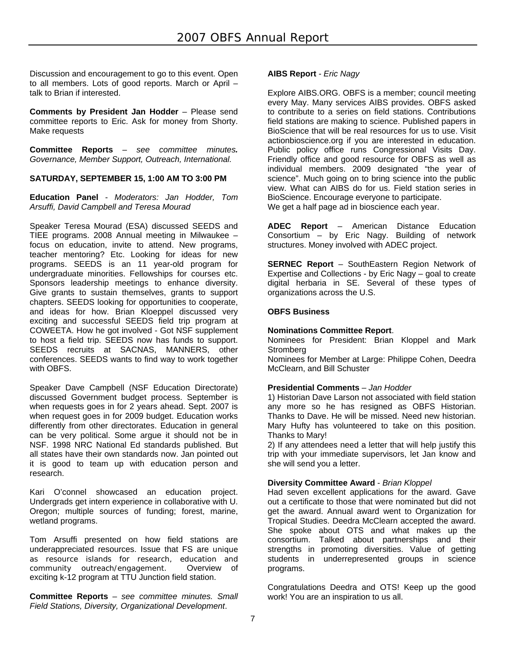Discussion and encouragement to go to this event. Open to all members. Lots of good reports. March or April – talk to Brian if interested.

**Comments by President Jan Hodder** – Please send committee reports to Eric. Ask for money from Shorty. Make requests

**Committee Reports** *– see committee minutes. Governance, Member Support, Outreach, International.* 

# **SATURDAY, SEPTEMBER 15, 1:00 AM TO 3:00 PM**

**Education Panel** - *Moderators: Jan Hodder, Tom Arsuffi, David Campbell and Teresa Mourad* 

Speaker Teresa Mourad (ESA) discussed SEEDS and TIEE programs. 2008 Annual meeting in Milwaukee – focus on education, invite to attend. New programs, teacher mentoring? Etc. Looking for ideas for new programs. SEEDS is an 11 year-old program for undergraduate minorities. Fellowships for courses etc. Sponsors leadership meetings to enhance diversity. Give grants to sustain themselves, grants to support chapters. SEEDS looking for opportunities to cooperate, and ideas for how. Brian Kloeppel discussed very exciting and successful SEEDS field trip program at COWEETA. How he got involved - Got NSF supplement to host a field trip. SEEDS now has funds to support. SEEDS recruits at SACNAS, MANNERS, other conferences. SEEDS wants to find way to work together with OBFS.

Speaker Dave Campbell (NSF Education Directorate) discussed Government budget process. September is when requests goes in for 2 years ahead. Sept. 2007 is when request goes in for 2009 budget. Education works differently from other directorates. Education in general can be very political. Some argue it should not be in NSF. 1998 NRC National Ed standards published. But all states have their own standards now. Jan pointed out it is good to team up with education person and research.

Kari O'connel showcased an education project. Undergrads get intern experience in collaborative with U. Oregon; multiple sources of funding; forest, marine, wetland programs.

Tom Arsuffi presented on how field stations are underappreciated resources. Issue that FS are unique as resource islands for research, education and community outreach/engagement. Overview of exciting k-12 program at TTU Junction field station.

**Committee Reports** – *see committee minutes. Small Field Stations, Diversity, Organizational Development*.

### **AIBS Report** *- Eric Nagy*

Explore AIBS.ORG. OBFS is a member; council meeting every May. Many services AIBS provides. OBFS asked to contribute to a series on field stations. Contributions field stations are making to science. Published papers in BioScience that will be real resources for us to use. Visit actionbioscience.org if you are interested in education. Public policy office runs Congressional Visits Day. Friendly office and good resource for OBFS as well as individual members. 2009 designated "the year of science". Much going on to bring science into the public view. What can AIBS do for us. Field station series in BioScience. Encourage everyone to participate. We get a half page ad in bioscience each year.

**ADEC Report** – American Distance Education Consortium – by Eric Nagy. Building of network structures. Money involved with ADEC project.

**SERNEC Report** – SouthEastern Region Network of Expertise and Collections - by Eric Nagy – goal to create digital herbaria in SE. Several of these types of organizations across the U.S.

# **OBFS Business**

### **Nominations Committee Report**.

Nominees for President: Brian Kloppel and Mark **Stromberg** 

Nominees for Member at Large: Philippe Cohen, Deedra McClearn, and Bill Schuster

### **Presidential Comments** *– Jan Hodder*

1) Historian Dave Larson not associated with field station any more so he has resigned as OBFS Historian. Thanks to Dave. He will be missed. Need new historian. Mary Hufty has volunteered to take on this position. Thanks to Mary!

2) If any attendees need a letter that will help justify this trip with your immediate supervisors, let Jan know and she will send you a letter.

### **Diversity Committee Award** - *Brian Kloppel*

Had seven excellent applications for the award. Gave out a certificate to those that were nominated but did not get the award. Annual award went to Organization for Tropical Studies. Deedra McClearn accepted the award. She spoke about OTS and what makes up the consortium. Talked about partnerships and their strengths in promoting diversities. Value of getting students in underrepresented groups in science programs.

Congratulations Deedra and OTS! Keep up the good work! You are an inspiration to us all.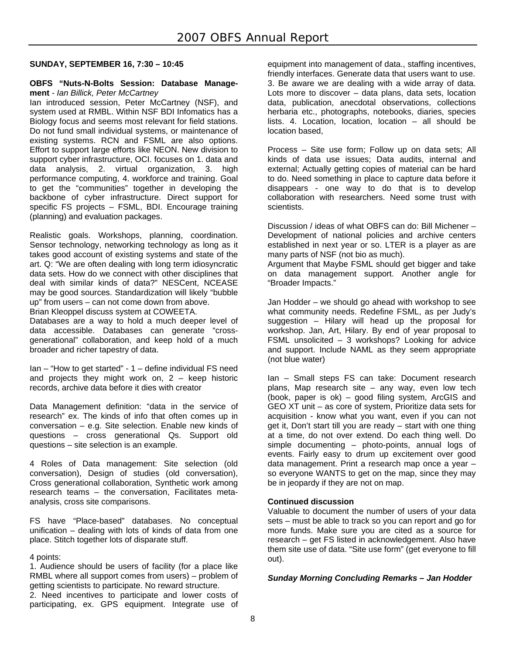# **SUNDAY, SEPTEMBER 16, 7:30 – 10:45**

#### **OBFS "Nuts-N-Bolts Session: Database Management** *- Ian Billick, Peter McCartney*

Ian introduced session, Peter McCartney (NSF), and system used at RMBL. Within NSF BDI Infomatics has a Biology focus and seems most relevant for field stations. Do not fund small individual systems, or maintenance of existing systems. RCN and FSML are also options. Effort to support large efforts like NEON. New division to support cyber infrastructure, OCI. focuses on 1. data and data analysis, 2. virtual organization, 3. high performance computing, 4. workforce and training. Goal to get the "communities" together in developing the backbone of cyber infrastructure. Direct support for specific FS projects – FSML, BDI. Encourage training (planning) and evaluation packages.

Realistic goals. Workshops, planning, coordination. Sensor technology, networking technology as long as it takes good account of existing systems and state of the art. Q: "We are often dealing with long term idiosyncratic data sets. How do we connect with other disciplines that deal with similar kinds of data?" NESCent, NCEASE may be good sources. Standardization will likely "bubble up" from users – can not come down from above.

Brian Kleoppel discuss system at COWEETA.

Databases are a way to hold a much deeper level of data accessible. Databases can generate "crossgenerational" collaboration, and keep hold of a much broader and richer tapestry of data.

Ian – "How to get started" - 1 – define individual FS need and projects they might work on,  $2 -$  keep historic records, archive data before it dies with creator

Data Management definition: "data in the service of research" ex. The kinds of info that often comes up in conversation – e.g. Site selection. Enable new kinds of questions – cross generational Qs. Support old questions – site selection is an example.

4 Roles of Data management: Site selection (old conversation), Design of studies (old conversation), Cross generational collaboration, Synthetic work among research teams – the conversation, Facilitates metaanalysis, cross site comparisons.

FS have "Place-based" databases. No conceptual unification – dealing with lots of kinds of data from one place. Stitch together lots of disparate stuff.

4 points:

1. Audience should be users of facility (for a place like RMBL where all support comes from users) – problem of getting scientists to participate. No reward structure.

2. Need incentives to participate and lower costs of participating, ex. GPS equipment. Integrate use of

equipment into management of data., staffing incentives, friendly interfaces. Generate data that users want to use. 3. Be aware we are dealing with a wide array of data. Lots more to discover – data plans, data sets, location data, publication, anecdotal observations, collections herbaria etc., photographs, notebooks, diaries, species lists. 4. Location, location, location – all should be location based,

Process – Site use form; Follow up on data sets; All kinds of data use issues; Data audits, internal and external; Actually getting copies of material can be hard to do. Need something in place to capture data before it disappears - one way to do that is to develop collaboration with researchers. Need some trust with scientists.

Discussion / ideas of what OBFS can do: Bill Michener – Development of national policies and archive centers established in next year or so. LTER is a player as are many parts of NSF (not bio as much). Argument that Maybe FSML should get bigger and take

on data management support. Another angle for "Broader Impacts."

Jan Hodder – we should go ahead with workshop to see what community needs. Redefine FSML, as per Judy's suggestion – Hilary will head up the proposal for workshop. Jan, Art, Hilary. By end of year proposal to FSML unsolicited – 3 workshops? Looking for advice and support. Include NAML as they seem appropriate (not blue water)

Ian – Small steps FS can take: Document research plans, Map research site – any way, even low tech (book, paper is ok) – good filing system, ArcGIS and GEO XT unit – as core of system, Prioritize data sets for acquisition - know what you want, even if you can not get it, Don't start till you are ready – start with one thing at a time, do not over extend. Do each thing well. Do simple documenting – photo-points, annual logs of events. Fairly easy to drum up excitement over good data management. Print a research map once a year – so everyone WANTS to get on the map, since they may be in jeopardy if they are not on map.

### **Continued discussion**

Valuable to document the number of users of your data sets – must be able to track so you can report and go for more funds. Make sure you are cited as a source for research – get FS listed in acknowledgement. Also have them site use of data. "Site use form" (get everyone to fill out).

### *Sunday Morning Concluding Remarks – Jan Hodder*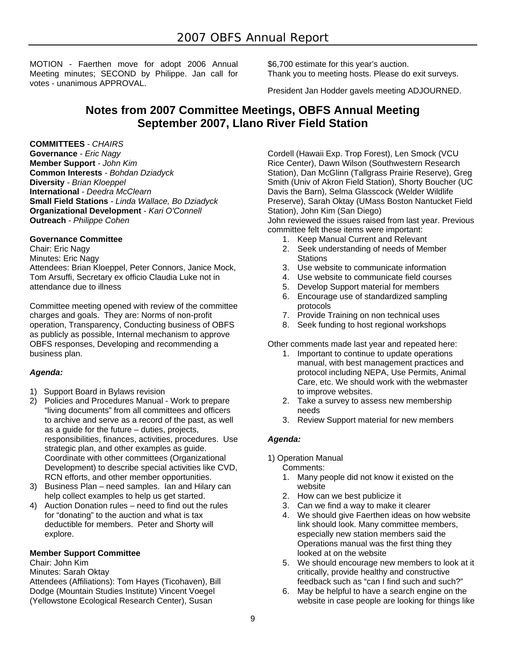MOTION - Faerthen move for adopt 2006 Annual Meeting minutes; SECOND by Philippe. Jan call for votes - unanimous APPROVAL.

\$6,700 estimate for this year's auction. Thank you to meeting hosts. Please do exit surveys.

President Jan Hodder gavels meeting ADJOURNED.

# **Notes from 2007 Committee Meetings, OBFS Annual Meeting September 2007, Llano River Field Station**

### **COMMITTEES** *- CHAIRS*

**Governance** *- Eric Nagy* **Member Support** *- John Kim* **Common Interests** *- Bohdan Dziadyck* **Diversity** *- Brian Kloeppel* **International** *- Deedra McClearn* **Small Field Stations** *- Linda Wallace, Bo Dziadyck* **Organizational Development** - *Kari O'Connell* **Outreach** *- Philippe Cohen*

### **Governance Committee**

Chair: Eric Nagy Minutes: Eric Nagy Attendees: Brian Kloeppel, Peter Connors, Janice Mock, Tom Arsuffi, Secretary ex officio Claudia Luke not in attendance due to illness

Committee meeting opened with review of the committee charges and goals. They are: Norms of non-profit operation, Transparency, Conducting business of OBFS as publicly as possible, Internal mechanism to approve OBFS responses, Developing and recommending a business plan.

# *Agenda:*

- 1) Support Board in Bylaws revision
- 2) Policies and Procedures Manual Work to prepare "living documents" from all committees and officers to archive and serve as a record of the past, as well as a guide for the future – duties, projects, responsibilities, finances, activities, procedures. Use strategic plan, and other examples as guide. Coordinate with other committees (Organizational Development) to describe special activities like CVD, RCN efforts, and other member opportunities.
- 3) Business Plan need samples. Ian and Hilary can help collect examples to help us get started.
- 4) Auction Donation rules need to find out the rules for "donating" to the auction and what is tax deductible for members. Peter and Shorty will explore.

# **Member Support Committee**

Chair: John Kim

Minutes: Sarah Oktay

Attendees (Affiliations): Tom Hayes (Ticohaven), Bill Dodge (Mountain Studies Institute) Vincent Voegel (Yellowstone Ecological Research Center), Susan

Cordell (Hawaii Exp. Trop Forest), Len Smock (VCU Rice Center), Dawn Wilson (Southwestern Research Station), Dan McGlinn (Tallgrass Prairie Reserve), Greg Smith (Univ of Akron Field Station), Shorty Boucher (UC Davis the Barn), Selma Glasscock (Welder Wildlife Preserve), Sarah Oktay (UMass Boston Nantucket Field Station), John Kim (San Diego) John reviewed the issues raised from last year. Previous

committee felt these items were important:

- 1. Keep Manual Current and Relevant
- 2. Seek understanding of needs of Member **Stations**
- 3. Use website to communicate information
- 4. Use website to communicate field courses
- 5. Develop Support material for members
- 6. Encourage use of standardized sampling protocols
- 7. Provide Training on non technical uses
- 8. Seek funding to host regional workshops

Other comments made last year and repeated here:

- 1. Important to continue to update operations manual, with best management practices and protocol including NEPA, Use Permits, Animal Care, etc. We should work with the webmaster to improve websites.
- 2. Take a survey to assess new membership needs
- 3. Review Support material for new members

# *Agenda:*

1) Operation Manual

Comments:

- 1. Many people did not know it existed on the website
- 2. How can we best publicize it
- 3. Can we find a way to make it clearer
- 4. We should give Faerthen ideas on how website link should look. Many committee members, especially new station members said the Operations manual was the first thing they looked at on the website
- 5. We should encourage new members to look at it critically, provide healthy and constructive feedback such as "can I find such and such?"
- 6. May be helpful to have a search engine on the website in case people are looking for things like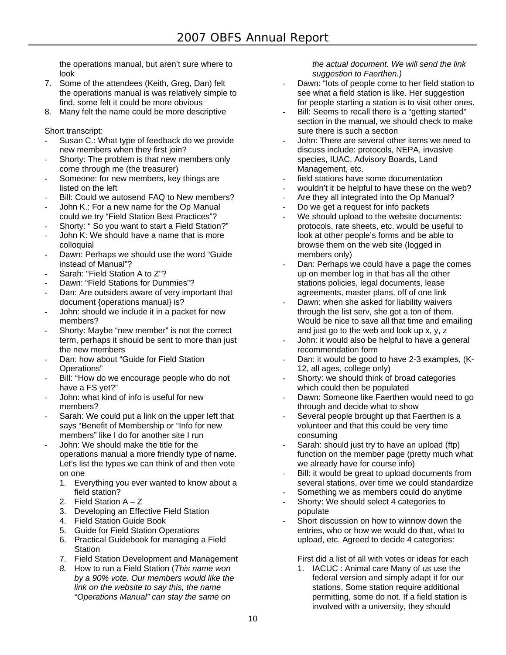the operations manual, but aren't sure where to look

- 7. Some of the attendees (Keith, Greg, Dan) felt the operations manual is was relatively simple to find, some felt it could be more obvious
- 8. Many felt the name could be more descriptive

Short transcript:

- Susan C.: What type of feedback do we provide new members when they first join?
- Shorty: The problem is that new members only come through me (the treasurer)
- Someone: for new members, key things are listed on the left
- Bill: Could we autosend FAQ to New members?
- John K.: For a new name for the Op Manual could we try "Field Station Best Practices"?
- Shorty: " So you want to start a Field Station?"
- John K: We should have a name that is more colloquial
- Dawn: Perhaps we should use the word "Guide" instead of Manual"?
- Sarah: "Field Station A to Z"?
- Dawn: "Field Stations for Dummies"?
- Dan: Are outsiders aware of very important that document {operations manual} is?
- John: should we include it in a packet for new members?
- Shorty: Maybe "new member" is not the correct term, perhaps it should be sent to more than just the new members
- Dan: how about "Guide for Field Station Operations"
- Bill: "How do we encourage people who do not have a FS yet?"
- John: what kind of info is useful for new members?
- Sarah: We could put a link on the upper left that says "Benefit of Membership or "Info for new members" like I do for another site I run
- John: We should make the title for the operations manual a more friendly type of name. Let's list the types we can think of and then vote on one
	- 1. Everything you ever wanted to know about a field station?
	- 2. Field Station A Z
	- 3. Developing an Effective Field Station
	- 4. Field Station Guide Book
	- 5. Guide for Field Station Operations
	- 6. Practical Guidebook for managing a Field Station
	- 7. Field Station Development and Management
	- *8.* How to run a Field Station (*This name won by a 90% vote. Our members would like the link on the website to say this, the name "Operations Manual" can stay the same on*

*the actual document. We will send the link suggestion to Faerthen.)* 

- Dawn: "lots of people come to her field station to see what a field station is like. Her suggestion for people starting a station is to visit other ones.
- Bill: Seems to recall there is a "getting started" section in the manual, we should check to make sure there is such a section
- John: There are several other items we need to discuss include: protocols, NEPA, invasive species, IUAC, Advisory Boards, Land Management, etc.
- field stations have some documentation
- wouldn't it be helpful to have these on the web?
- Are they all integrated into the Op Manual?
- Do we get a request for info packets
- We should upload to the website documents: protocols, rate sheets, etc. would be useful to look at other people's forms and be able to browse them on the web site (logged in members only)
- Dan: Perhaps we could have a page the comes up on member log in that has all the other stations policies, legal documents, lease agreements, master plans, off of one link
- Dawn: when she asked for liability waivers through the list serv, she got a ton of them. Would be nice to save all that time and emailing and just go to the web and look up x, y, z
- John: it would also be helpful to have a general recommendation form
- Dan: it would be good to have 2-3 examples, (K-12, all ages, college only)
- Shorty: we should think of broad categories which could then be populated
- Dawn: Someone like Faerthen would need to go through and decide what to show
- Several people brought up that Faerthen is a volunteer and that this could be very time consuming
- Sarah: should just try to have an upload (ftp) function on the member page (pretty much what we already have for course info)
- Bill: it would be great to upload documents from several stations, over time we could standardize
- Something we as members could do anytime
- Shorty: We should select 4 categories to populate
- Short discussion on how to winnow down the entries, who or how we would do that, what to upload, etc. Agreed to decide 4 categories:

First did a list of all with votes or ideas for each

1. IACUC : Animal care Many of us use the federal version and simply adapt it for our stations. Some station require additional permitting, some do not. If a field station is involved with a university, they should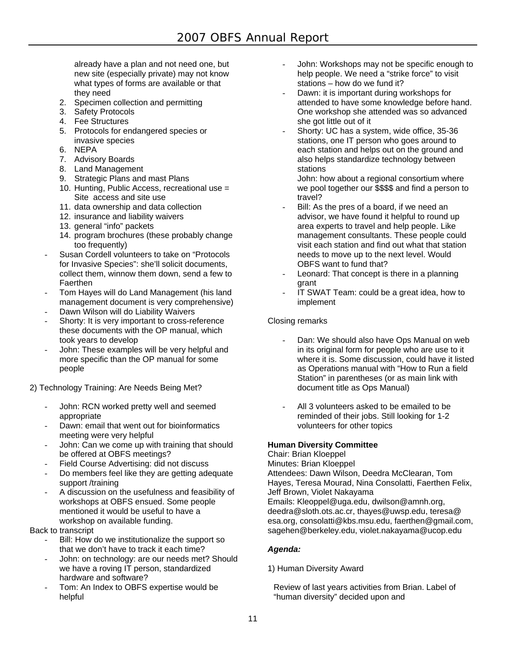already have a plan and not need one, but new site (especially private) may not know what types of forms are available or that they need

- 2. Specimen collection and permitting
- 3. Safety Protocols
- 4. Fee Structures
- 5. Protocols for endangered species or invasive species
- 6. NEPA
- 7. Advisory Boards
- 8. Land Management
- 9. Strategic Plans and mast Plans
- 10. Hunting, Public Access, recreational use = Site access and site use
- 11. data ownership and data collection
- 12. insurance and liability waivers
- 13. general "info" packets
- 14. program brochures (these probably change too frequently)
- Susan Cordell volunteers to take on "Protocols for Invasive Species": she'll solicit documents, collect them, winnow them down, send a few to **Faerthen**
- Tom Haves will do Land Management (his land management document is very comprehensive)
- Dawn Wilson will do Liability Waivers
- Shorty: It is very important to cross-reference these documents with the OP manual, which took years to develop
- John: These examples will be very helpful and more specific than the OP manual for some people
- 2) Technology Training: Are Needs Being Met?
	- John: RCN worked pretty well and seemed appropriate
	- Dawn: email that went out for bioinformatics meeting were very helpful
	- John: Can we come up with training that should be offered at OBFS meetings?
	- Field Course Advertising: did not discuss
	- Do members feel like they are getting adequate support /training
	- A discussion on the usefulness and feasibility of workshops at OBFS ensued. Some people mentioned it would be useful to have a workshop on available funding.

Back to transcript

- Bill: How do we institutionalize the support so that we don't have to track it each time?
- John: on technology: are our needs met? Should we have a roving IT person, standardized hardware and software?
- Tom: An Index to OBFS expertise would be helpful
- John: Workshops may not be specific enough to help people. We need a "strike force" to visit stations – how do we fund it?
- Dawn: it is important during workshops for attended to have some knowledge before hand. One workshop she attended was so advanced she got little out of it
- Shorty: UC has a system, wide office, 35-36 stations, one IT person who goes around to each station and helps out on the ground and also helps standardize technology between stations

John: how about a regional consortium where we pool together our \$\$\$\$ and find a person to travel?

- Bill: As the pres of a board, if we need an advisor, we have found it helpful to round up area experts to travel and help people. Like management consultants. These people could visit each station and find out what that station needs to move up to the next level. Would OBFS want to fund that?
- Leonard: That concept is there in a planning grant
- IT SWAT Team: could be a great idea, how to implement

# Closing remarks

- Dan: We should also have Ops Manual on web in its original form for people who are use to it where it is. Some discussion, could have it listed as Operations manual with "How to Run a field Station" in parentheses (or as main link with document title as Ops Manual)
- All 3 volunteers asked to be emailed to be reminded of their jobs. Still looking for 1-2 volunteers for other topics

# **Human Diversity Committee**

Chair: Brian Kloeppel Minutes: Brian Kloeppel Attendees: Dawn Wilson, Deedra McClearan, Tom Hayes, Teresa Mourad, Nina Consolatti, Faerthen Felix, Jeff Brown, Violet Nakayama Emails: Kleoppel@uga.edu, dwilson@amnh.org, deedra@sloth.ots.ac.cr, thayes@uwsp.edu, teresa@ esa.org, consolatti@kbs.msu.edu, faerthen@gmail.com, sagehen@berkeley.edu, violet.nakayama@ucop.edu

# *Agenda:*

- 1) Human Diversity Award
- Review of last years activities from Brian. Label of "human diversity" decided upon and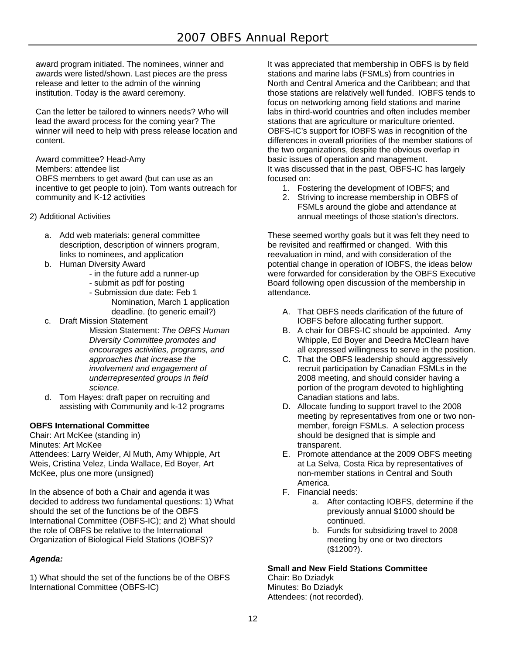award program initiated. The nominees, winner and awards were listed/shown. Last pieces are the press release and letter to the admin of the winning institution. Today is the award ceremony.

Can the letter be tailored to winners needs? Who will lead the award process for the coming year? The winner will need to help with press release location and content.

Award committee? Head-Amy Members: attendee list OBFS members to get award (but can use as an incentive to get people to join). Tom wants outreach for community and K-12 activities

- 2) Additional Activities
	- a. Add web materials: general committee description, description of winners program, links to nominees, and application
	- b. Human Diversity Award
		- in the future add a runner-up
		- submit as pdf for posting
		- Submission due date: Feb 1 Nomination, March 1 application deadline. (to generic email?)
	- c. Draft Mission Statement
		- Mission Statement: *The OBFS Human Diversity Committee promotes and encourages activities, programs, and approaches that increase the involvement and engagement of underrepresented groups in field science.*
	- d. Tom Hayes: draft paper on recruiting and assisting with Community and k-12 programs

# **OBFS International Committee**

Chair: Art McKee (standing in) Minutes: Art McKee Attendees: Larry Weider, Al Muth, Amy Whipple, Art Weis, Cristina Velez, Linda Wallace, Ed Boyer, Art McKee, plus one more (unsigned)

In the absence of both a Chair and agenda it was decided to address two fundamental questions: 1) What should the set of the functions be of the OBFS International Committee (OBFS-IC); and 2) What should the role of OBFS be relative to the International Organization of Biological Field Stations (IOBFS)?

# *Agenda:*

1) What should the set of the functions be of the OBFS International Committee (OBFS-IC)

It was appreciated that membership in OBFS is by field stations and marine labs (FSMLs) from countries in North and Central America and the Caribbean; and that those stations are relatively well funded. IOBFS tends to focus on networking among field stations and marine labs in third-world countries and often includes member stations that are agriculture or mariculture oriented. OBFS-IC's support for IOBFS was in recognition of the differences in overall priorities of the member stations of the two organizations, despite the obvious overlap in basic issues of operation and management. It was discussed that in the past, OBFS-IC has largely focused on:

- 1. Fostering the development of IOBFS; and
- 2. Striving to increase membership in OBFS of FSMLs around the globe and attendance at annual meetings of those station's directors.

These seemed worthy goals but it was felt they need to be revisited and reaffirmed or changed. With this reevaluation in mind, and with consideration of the potential change in operation of IOBFS, the ideas below were forwarded for consideration by the OBFS Executive Board following open discussion of the membership in attendance.

- A. That OBFS needs clarification of the future of IOBFS before allocating further support.
- B. A chair for OBFS-IC should be appointed. Amy Whipple, Ed Boyer and Deedra McClearn have all expressed willingness to serve in the position.
- C. That the OBFS leadership should aggressively recruit participation by Canadian FSMLs in the 2008 meeting, and should consider having a portion of the program devoted to highlighting Canadian stations and labs.
- D. Allocate funding to support travel to the 2008 meeting by representatives from one or two nonmember, foreign FSMLs. A selection process should be designed that is simple and transparent.
- E. Promote attendance at the 2009 OBFS meeting at La Selva, Costa Rica by representatives of non-member stations in Central and South America.
- F. Financial needs:
	- a. After contacting IOBFS, determine if the previously annual \$1000 should be continued.
	- b. Funds for subsidizing travel to 2008 meeting by one or two directors (\$1200?).

# **Small and New Field Stations Committee**

Chair: Bo Dziadyk Minutes: Bo Dziadyk Attendees: (not recorded).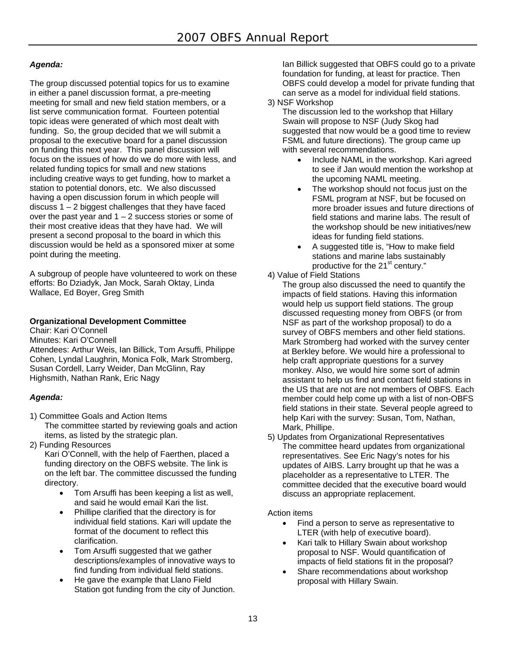# *Agenda:*

The group discussed potential topics for us to examine in either a panel discussion format, a pre-meeting meeting for small and new field station members, or a list serve communication format. Fourteen potential topic ideas were generated of which most dealt with funding. So, the group decided that we will submit a proposal to the executive board for a panel discussion on funding this next year. This panel discussion will focus on the issues of how do we do more with less, and related funding topics for small and new stations including creative ways to get funding, how to market a station to potential donors, etc. We also discussed having a open discussion forum in which people will discuss  $1 - 2$  biggest challenges that they have faced over the past year and  $1 - 2$  success stories or some of their most creative ideas that they have had. We will present a second proposal to the board in which this discussion would be held as a sponsored mixer at some point during the meeting.

A subgroup of people have volunteered to work on these efforts: Bo Dziadyk, Jan Mock, Sarah Oktay, Linda Wallace, Ed Boyer, Greg Smith

# **Organizational Development Committee**

Chair: Kari O'Connell Minutes: Kari O'Connell Attendees: Arthur Weis, Ian Billick, Tom Arsuffi, Philippe Cohen, Lyndal Laughrin, Monica Folk, Mark Stromberg, Susan Cordell, Larry Weider, Dan McGlinn, Ray Highsmith, Nathan Rank, Eric Nagy

# *Agenda:*

- 1) Committee Goals and Action Items The committee started by reviewing goals and action items, as listed by the strategic plan.
- 2) Funding Resources

Kari O'Connell, with the help of Faerthen, placed a funding directory on the OBFS website. The link is on the left bar. The committee discussed the funding directory.

- Tom Arsuffi has been keeping a list as well, and said he would email Kari the list.
- Phillipe clarified that the directory is for individual field stations. Kari will update the format of the document to reflect this clarification.
- Tom Arsuffi suggested that we gather descriptions/examples of innovative ways to find funding from individual field stations.
- He gave the example that Llano Field Station got funding from the city of Junction.

Ian Billick suggested that OBFS could go to a private foundation for funding, at least for practice. Then OBFS could develop a model for private funding that can serve as a model for individual field stations.

### 3) NSF Workshop

The discussion led to the workshop that Hillary Swain will propose to NSF (Judy Skog had suggested that now would be a good time to review FSML and future directions). The group came up with several recommendations.

- Include NAML in the workshop. Kari agreed to see if Jan would mention the workshop at the upcoming NAML meeting.
- The workshop should not focus just on the FSML program at NSF, but be focused on more broader issues and future directions of field stations and marine labs. The result of the workshop should be new initiatives/new ideas for funding field stations.
- A suggested title is, "How to make field stations and marine labs sustainably productive for the 21<sup>st</sup> century."

# 4) Value of Field Stations

The group also discussed the need to quantify the impacts of field stations. Having this information would help us support field stations. The group discussed requesting money from OBFS (or from NSF as part of the workshop proposal) to do a survey of OBFS members and other field stations. Mark Stromberg had worked with the survey center at Berkley before. We would hire a professional to help craft appropriate questions for a survey monkey. Also, we would hire some sort of admin assistant to help us find and contact field stations in the US that are not are not members of OBFS. Each member could help come up with a list of non-OBFS field stations in their state. Several people agreed to help Kari with the survey: Susan, Tom, Nathan, Mark, Phillipe.

5) Updates from Organizational Representatives The committee heard updates from organizational representatives. See Eric Nagy's notes for his updates of AIBS. Larry brought up that he was a placeholder as a representative to LTER. The committee decided that the executive board would discuss an appropriate replacement.

# Action items

- Find a person to serve as representative to LTER (with help of executive board).
- Kari talk to Hillary Swain about workshop proposal to NSF. Would quantification of impacts of field stations fit in the proposal?
- Share recommendations about workshop proposal with Hillary Swain.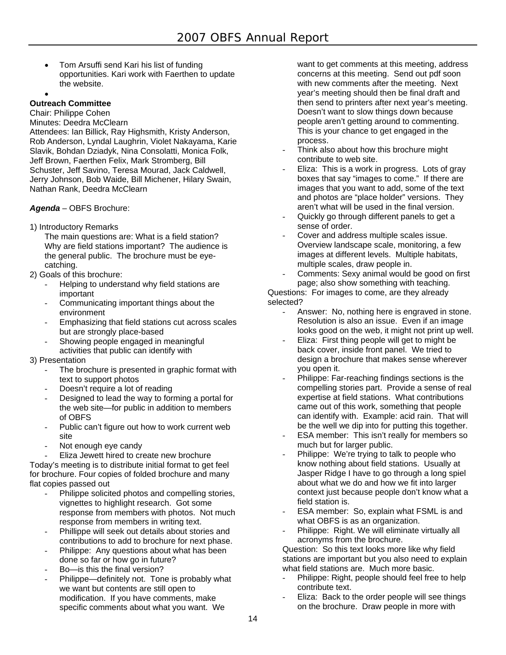Tom Arsuffi send Kari his list of funding opportunities. Kari work with Faerthen to update the website.

# $\bullet$

**Outreach Committee** 

Chair: Philippe Cohen Minutes: Deedra McClearn

Attendees: Ian Billick, Ray Highsmith, Kristy Anderson, Rob Anderson, Lyndal Laughrin, Violet Nakayama, Karie Slavik, Bohdan Dziadyk, Nina Consolatti, Monica Folk, Jeff Brown, Faerthen Felix, Mark Stromberg, Bill Schuster, Jeff Savino, Teresa Mourad, Jack Caldwell, Jerry Johnson, Bob Waide, Bill Michener, Hilary Swain, Nathan Rank, Deedra McClearn

*Agenda* – OBFS Brochure:

1) Introductory Remarks

The main questions are: What is a field station? Why are field stations important? The audience is the general public. The brochure must be eyecatching.

- 2) Goals of this brochure:
	- Helping to understand why field stations are important
	- Communicating important things about the environment
	- Emphasizing that field stations cut across scales but are strongly place-based
	- Showing people engaged in meaningful activities that public can identify with
- 3) Presentation
	- The brochure is presented in graphic format with text to support photos
	- Doesn't require a lot of reading
	- Designed to lead the way to forming a portal for the web site—for public in addition to members of OBFS
	- Public can't figure out how to work current web site
	- Not enough eye candy
	- Eliza Jewett hired to create new brochure

Today's meeting is to distribute initial format to get feel for brochure. Four copies of folded brochure and many flat copies passed out

- Philippe solicited photos and compelling stories. vignettes to highlight research. Got some response from members with photos. Not much response from members in writing text.
- Phillippe will seek out details about stories and contributions to add to brochure for next phase.
- Philippe: Any questions about what has been done so far or how go in future?
- Bo-is this the final version?
- Philippe—definitely not. Tone is probably what we want but contents are still open to modification. If you have comments, make specific comments about what you want. We

want to get comments at this meeting, address concerns at this meeting. Send out pdf soon with new comments after the meeting. Next year's meeting should then be final draft and then send to printers after next year's meeting. Doesn't want to slow things down because people aren't getting around to commenting. This is your chance to get engaged in the process.

- Think also about how this brochure might contribute to web site.
- Eliza: This is a work in progress. Lots of gray boxes that say "images to come." If there are images that you want to add, some of the text and photos are "place holder" versions. They aren't what will be used in the final version.
- Quickly go through different panels to get a sense of order.
- Cover and address multiple scales issue. Overview landscape scale, monitoring, a few images at different levels. Multiple habitats, multiple scales, draw people in.
- Comments: Sexy animal would be good on first page; also show something with teaching.

Questions: For images to come, are they already selected?

- Answer: No, nothing here is engraved in stone. Resolution is also an issue. Even if an image looks good on the web, it might not print up well.
- Eliza: First thing people will get to might be back cover, inside front panel. We tried to design a brochure that makes sense wherever you open it.
- Philippe: Far-reaching findings sections is the compelling stories part. Provide a sense of real expertise at field stations. What contributions came out of this work, something that people can identify with. Example: acid rain. That will be the well we dip into for putting this together.
- ESA member: This isn't really for members so much but for larger public.
- Philippe: We're trying to talk to people who know nothing about field stations. Usually at Jasper Ridge I have to go through a long spiel about what we do and how we fit into larger context just because people don't know what a field station is.
- ESA member: So, explain what FSML is and what OBFS is as an organization.
- Philippe: Right. We will eliminate virtually all acronyms from the brochure.

Question: So this text looks more like why field stations are important but you also need to explain what field stations are. Much more basic.

- Philippe: Right, people should feel free to help contribute text.
- Eliza: Back to the order people will see things on the brochure. Draw people in more with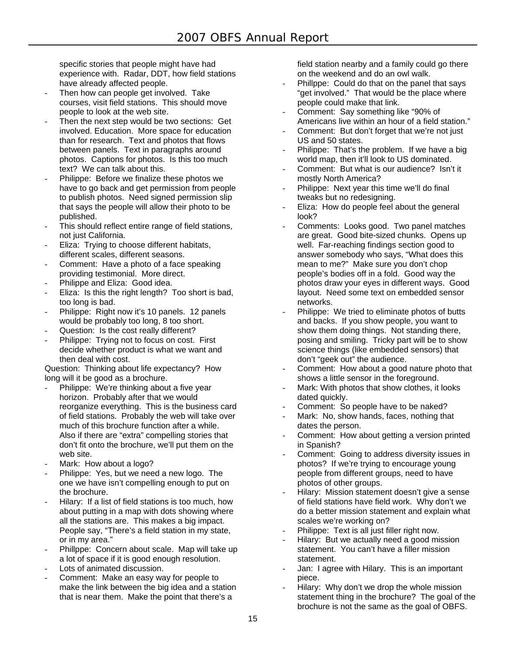specific stories that people might have had experience with. Radar, DDT, how field stations have already affected people.

- Then how can people get involved. Take courses, visit field stations. This should move people to look at the web site.
- Then the next step would be two sections: Get involved. Education. More space for education than for research. Text and photos that flows between panels. Text in paragraphs around photos. Captions for photos. Is this too much text? We can talk about this.
- Philippe: Before we finalize these photos we have to go back and get permission from people to publish photos. Need signed permission slip that says the people will allow their photo to be published.
- This should reflect entire range of field stations, not just California.
- Eliza: Trying to choose different habitats, different scales, different seasons.
- Comment: Have a photo of a face speaking providing testimonial. More direct.
- Philippe and Eliza: Good idea.
- Eliza: Is this the right length? Too short is bad, too long is bad.
- Philippe: Right now it's 10 panels. 12 panels would be probably too long, 8 too short.
- Question: Is the cost really different?
- Philippe: Trying not to focus on cost. First decide whether product is what we want and then deal with cost.

Question: Thinking about life expectancy? How long will it be good as a brochure.

- Philippe: We're thinking about a five year horizon. Probably after that we would reorganize everything. This is the business card of field stations. Probably the web will take over much of this brochure function after a while. Also if there are "extra" compelling stories that don't fit onto the brochure, we'll put them on the web site.
- Mark: How about a logo?
- Philippe: Yes, but we need a new logo. The one we have isn't compelling enough to put on the brochure.
- Hilary: If a list of field stations is too much, how about putting in a map with dots showing where all the stations are. This makes a big impact. People say, "There's a field station in my state, or in my area."
- Phillppe: Concern about scale. Map will take up a lot of space if it is good enough resolution.
- Lots of animated discussion.
- Comment: Make an easy way for people to make the link between the big idea and a station that is near them. Make the point that there's a

field station nearby and a family could go there on the weekend and do an owl walk.

- Phillppe: Could do that on the panel that says "get involved." That would be the place where people could make that link.
- Comment: Say something like "90% of Americans live within an hour of a field station."
- Comment: But don't forget that we're not just US and 50 states.
- Philippe: That's the problem. If we have a big world map, then it'll look to US dominated.
- Comment: But what is our audience? Isn't it mostly North America?
- Philippe: Next year this time we'll do final tweaks but no redesigning.
- Eliza: How do people feel about the general look?
- Comments: Looks good. Two panel matches are great. Good bite-sized chunks. Opens up well. Far-reaching findings section good to answer somebody who says, "What does this mean to me?" Make sure you don't chop people's bodies off in a fold. Good way the photos draw your eyes in different ways. Good layout. Need some text on embedded sensor networks.
- Philippe: We tried to eliminate photos of butts and backs. If you show people, you want to show them doing things. Not standing there, posing and smiling. Tricky part will be to show science things (like embedded sensors) that don't "geek out" the audience.
- Comment: How about a good nature photo that shows a little sensor in the foreground.
- Mark: With photos that show clothes, it looks dated quickly.
- Comment: So people have to be naked?
- Mark: No, show hands, faces, nothing that dates the person.
- Comment: How about getting a version printed in Spanish?
- Comment: Going to address diversity issues in photos? If we're trying to encourage young people from different groups, need to have photos of other groups.
- Hilary: Mission statement doesn't give a sense of field stations have field work. Why don't we do a better mission statement and explain what scales we're working on?
- Philippe: Text is all just filler right now.
- Hilary: But we actually need a good mission statement. You can't have a filler mission statement.
- Jan: I agree with Hilary. This is an important piece.
- Hilary: Why don't we drop the whole mission statement thing in the brochure? The goal of the brochure is not the same as the goal of OBFS.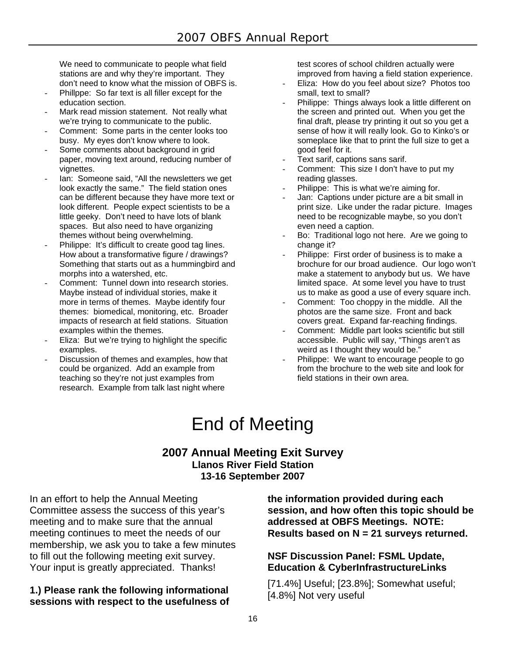We need to communicate to people what field stations are and why they're important. They don't need to know what the mission of OBFS is.

- Phillppe: So far text is all filler except for the education section.
- Mark read mission statement. Not really what we're trying to communicate to the public.
- Comment: Some parts in the center looks too busy. My eyes don't know where to look.
- Some comments about background in grid paper, moving text around, reducing number of vignettes.
- lan: Someone said, "All the newsletters we get look exactly the same." The field station ones can be different because they have more text or look different. People expect scientists to be a little geeky. Don't need to have lots of blank spaces. But also need to have organizing themes without being overwhelming.
- Philippe: It's difficult to create good tag lines. How about a transformative figure / drawings? Something that starts out as a hummingbird and morphs into a watershed, etc.
- Comment: Tunnel down into research stories. Maybe instead of individual stories, make it more in terms of themes. Maybe identify four themes: biomedical, monitoring, etc. Broader impacts of research at field stations. Situation examples within the themes.
- Eliza: But we're trying to highlight the specific examples.
- Discussion of themes and examples, how that could be organized. Add an example from teaching so they're not just examples from research. Example from talk last night where

test scores of school children actually were improved from having a field station experience.

- Eliza: How do you feel about size? Photos too small, text to small?
- Philippe: Things always look a little different on the screen and printed out. When you get the final draft, please try printing it out so you get a sense of how it will really look. Go to Kinko's or someplace like that to print the full size to get a good feel for it.
- Text sarif, captions sans sarif.
- Comment: This size I don't have to put my reading glasses.
- Philippe: This is what we're aiming for.
- Jan: Captions under picture are a bit small in print size. Like under the radar picture. Images need to be recognizable maybe, so you don't even need a caption.
- Bo: Traditional logo not here. Are we going to change it?
- Philippe: First order of business is to make a brochure for our broad audience. Our logo won't make a statement to anybody but us. We have limited space. At some level you have to trust us to make as good a use of every square inch.
- Comment: Too choppy in the middle. All the photos are the same size. Front and back covers great. Expand far-reaching findings.
- Comment: Middle part looks scientific but still accessible. Public will say, "Things aren't as weird as I thought they would be."
- Philippe: We want to encourage people to go from the brochure to the web site and look for field stations in their own area.

# End of Meeting

# **2007 Annual Meeting Exit Survey Llanos River Field Station 13-16 September 2007**

In an effort to help the Annual Meeting Committee assess the success of this year's meeting and to make sure that the annual meeting continues to meet the needs of our membership, we ask you to take a few minutes to fill out the following meeting exit survey. Your input is greatly appreciated. Thanks!

# **1.) Please rank the following informational sessions with respect to the usefulness of**

**the information provided during each session, and how often this topic should be addressed at OBFS Meetings. NOTE: Results based on N = 21 surveys returned.**

# **NSF Discussion Panel: FSML Update, Education & CyberInfrastructureLinks**

[71.4%] Useful; [23.8%]; Somewhat useful; [4.8%] Not very useful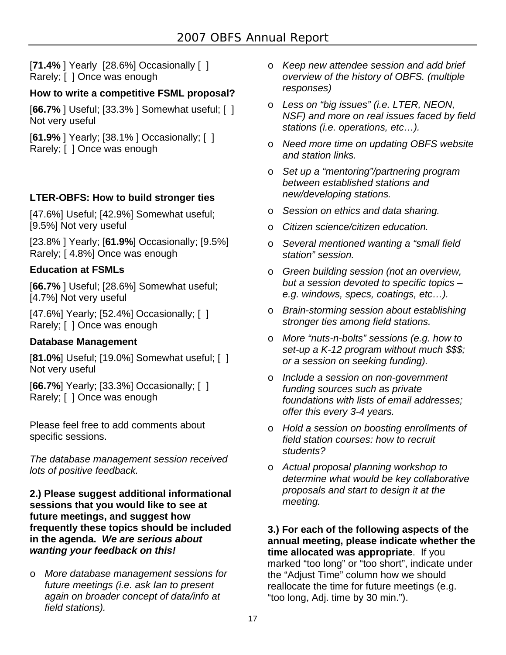[**71.4%** ] Yearly [28.6%] Occasionally [ ] Rarely; [ ] Once was enough

# **How to write a competitive FSML proposal?**

[**66.7%** ] Useful; [33.3% ] Somewhat useful; [ ] Not very useful

[**61.9%** ] Yearly; [38.1% ] Occasionally; [ ] Rarely; [ ] Once was enough

# **LTER-OBFS: How to build stronger ties**

[47.6%] Useful; [42.9%] Somewhat useful; [9.5%] Not very useful

[23.8% ] Yearly; [**61.9%**] Occasionally; [9.5%] Rarely; [ 4.8%] Once was enough

# **Education at FSMLs**

[**66.7%** ] Useful; [28.6%] Somewhat useful; [4.7%] Not very useful

[47.6%] Yearly; [52.4%] Occasionally; [ ] Rarely; [ ] Once was enough

# **Database Management**

[**81.0%**] Useful; [19.0%] Somewhat useful; [ ] Not very useful

[**66.7%**] Yearly; [33.3%] Occasionally; [ ] Rarely; [ ] Once was enough

Please feel free to add comments about specific sessions.

*The database management session received lots of positive feedback.*

# **2.) Please suggest additional informational sessions that you would like to see at future meetings, and suggest how frequently these topics should be included in the agenda.** *We are serious about wanting your feedback on this!*

o *More database management sessions for future meetings (i.e. ask Ian to present again on broader concept of data/info at field stations).* 

- o *Keep new attendee session and add brief overview of the history of OBFS. (multiple responses)*
- o *Less on "big issues" (i.e. LTER, NEON, NSF) and more on real issues faced by field stations (i.e. operations, etc…).*
- o *Need more time on updating OBFS website and station links.*
- o *Set up a "mentoring"/partnering program between established stations and new/developing stations.*
- o *Session on ethics and data sharing.*
- o *Citizen science/citizen education.*
- o *Several mentioned wanting a "small field station" session.*
- o *Green building session (not an overview, but a session devoted to specific topics – e.g. windows, specs, coatings, etc…).*
- o *Brain-storming session about establishing stronger ties among field stations.*
- o *More "nuts-n-bolts" sessions (e.g. how to set-up a K-12 program without much \$\$\$; or a session on seeking funding).*
- o *Include a session on non-government funding sources such as private foundations with lists of email addresses; offer this every 3-4 years.*
- o *Hold a session on boosting enrollments of field station courses: how to recruit students?*
- o *Actual proposal planning workshop to determine what would be key collaborative proposals and start to design it at the meeting.*

**3.) For each of the following aspects of the annual meeting, please indicate whether the time allocated was appropriate**. If you marked "too long" or "too short", indicate under the "Adjust Time" column how we should reallocate the time for future meetings (e.g. "too long, Adj. time by 30 min.").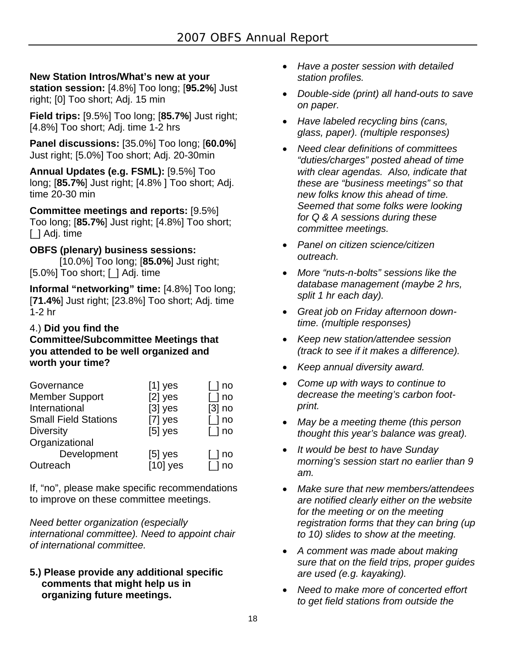# **New Station Intros/What's new at your**

**station session:** [4.8%] Too long; [**95.2%**] Just right; [0] Too short; Adj. 15 min

**Field trips:** [9.5%] Too long; [**85.7%**] Just right; [4.8%] Too short; Adj. time 1-2 hrs

**Panel discussions:** [35.0%] Too long; [**60.0%**] Just right; [5.0%] Too short; Adj. 20-30min

**Annual Updates (e.g. FSML):** [9.5%] Too long; [**85.7%**] Just right; [4.8% ] Too short; Adj. time 20-30 min

**Committee meetings and reports:** [9.5%] Too long; [**85.7%**] Just right; [4.8%] Too short; [] Adj. time

# **OBFS (plenary) business sessions:**

 [10.0%] Too long; [**85.0%**] Just right; [5.0%] Too short; [\_] Adj. time

**Informal "networking" time:** [4.8%] Too long; [**71.4%**] Just right; [23.8%] Too short; Adj. time 1-2 hr

# 4.) **Did you find the**

**Committee/Subcommittee Meetings that you attended to be well organized and worth your time?**

| Governance                  | $[1]$ yes  | $\lfloor$ no         |
|-----------------------------|------------|----------------------|
| <b>Member Support</b>       | $[2]$ yes  | $\lfloor$ no         |
| International               | $[3]$ yes  | $[3]$ no             |
| <b>Small Field Stations</b> | $[7]$ yes  | $\lfloor$ no         |
| <b>Diversity</b>            | $[5]$ yes  | $\lfloor$ no         |
| Organizational              |            |                      |
| Development                 | $[5]$ yes  | $\lfloor$ ] no       |
| Outreach                    | $[10]$ yes | $\lceil$ $\rceil$ no |

If, "no", please make specific recommendations to improve on these committee meetings.

*Need better organization (especially international committee). Need to appoint chair of international committee.* 

**5.) Please provide any additional specific comments that might help us in organizing future meetings.** 

- *Have a poster session with detailed station profiles.*
- *Double-side (print) all hand-outs to save on paper.*
- *Have labeled recycling bins (cans, glass, paper). (multiple responses)*
- *Need clear definitions of committees "duties/charges" posted ahead of time with clear agendas. Also, indicate that these are "business meetings" so that new folks know this ahead of time. Seemed that some folks were looking for Q & A sessions during these committee meetings.*
- *Panel on citizen science/citizen outreach.*
- *More "nuts-n-bolts" sessions like the database management (maybe 2 hrs, split 1 hr each day).*
- *Great job on Friday afternoon downtime. (multiple responses)*
- *Keep new station/attendee session (track to see if it makes a difference).*
- *Keep annual diversity award.*
- *Come up with ways to continue to decrease the meeting's carbon footprint.*
- *May be a meeting theme (this person thought this year's balance was great).*
- *It would be best to have Sunday morning's session start no earlier than 9 am.*
- *Make sure that new members/attendees are notified clearly either on the website for the meeting or on the meeting registration forms that they can bring (up to 10) slides to show at the meeting.*
- *A comment was made about making sure that on the field trips, proper guides are used (e.g. kayaking).*
- *Need to make more of concerted effort to get field stations from outside the*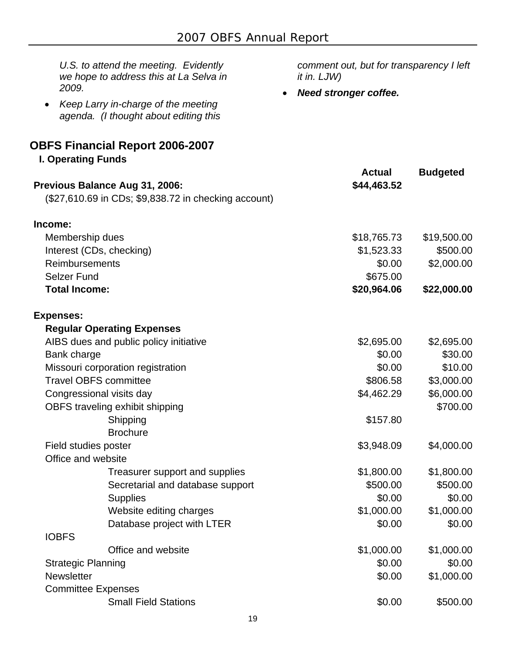| U.S. to attend the meeting. Evidently<br>we hope to address this at La Selva in<br>2009.  | comment out, but for transparency I left<br>it in. LJW) |                 |
|-------------------------------------------------------------------------------------------|---------------------------------------------------------|-----------------|
| Keep Larry in-charge of the meeting<br>$\bullet$<br>agenda. (I thought about editing this | <b>Need stronger coffee.</b>                            |                 |
| <b>OBFS Financial Report 2006-2007</b>                                                    |                                                         |                 |
| <b>I. Operating Funds</b>                                                                 |                                                         |                 |
|                                                                                           | <b>Actual</b>                                           | <b>Budgeted</b> |
| Previous Balance Aug 31, 2006:<br>(\$27,610.69 in CDs; \$9,838.72 in checking account)    | \$44,463.52                                             |                 |
| Income:                                                                                   |                                                         |                 |
| Membership dues                                                                           | \$18,765.73                                             | \$19,500.00     |
| Interest (CDs, checking)                                                                  | \$1,523.33                                              | \$500.00        |
| Reimbursements                                                                            | \$0.00                                                  | \$2,000.00      |
| <b>Selzer Fund</b>                                                                        | \$675.00                                                |                 |
| <b>Total Income:</b>                                                                      | \$20,964.06                                             | \$22,000.00     |
| <b>Expenses:</b>                                                                          |                                                         |                 |
| <b>Regular Operating Expenses</b>                                                         |                                                         |                 |
| AIBS dues and public policy initiative                                                    | \$2,695.00                                              | \$2,695.00      |
| Bank charge                                                                               | \$0.00                                                  | \$30.00         |
| Missouri corporation registration                                                         | \$0.00                                                  | \$10.00         |
| <b>Travel OBFS committee</b>                                                              | \$806.58                                                | \$3,000.00      |
| Congressional visits day                                                                  | \$4,462.29                                              | \$6,000.00      |
| OBFS traveling exhibit shipping                                                           |                                                         | \$700.00        |
| Shipping                                                                                  | \$157.80                                                |                 |
| <b>Brochure</b>                                                                           |                                                         |                 |
| Field studies poster                                                                      | \$3,948.09                                              | \$4,000.00      |
| Office and website                                                                        |                                                         |                 |
| Treasurer support and supplies                                                            | \$1,800.00                                              | \$1,800.00      |
| Secretarial and database support                                                          | \$500.00                                                | \$500.00        |
| <b>Supplies</b>                                                                           | \$0.00                                                  | \$0.00          |
| Website editing charges                                                                   | \$1,000.00                                              | \$1,000.00      |
| Database project with LTER<br><b>IOBFS</b>                                                | \$0.00                                                  | \$0.00          |
| Office and website                                                                        | \$1,000.00                                              | \$1,000.00      |
|                                                                                           | \$0.00                                                  | \$0.00          |
| <b>Strategic Planning</b><br><b>Newsletter</b>                                            | \$0.00                                                  | \$1,000.00      |
| <b>Committee Expenses</b>                                                                 |                                                         |                 |
| <b>Small Field Stations</b>                                                               | \$0.00                                                  | \$500.00        |
|                                                                                           |                                                         |                 |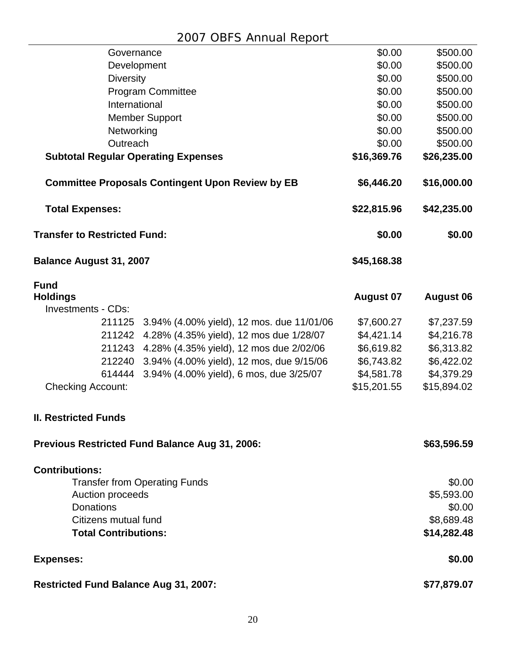| Governance                                              | \$0.00           | \$500.00         |
|---------------------------------------------------------|------------------|------------------|
| Development                                             | \$0.00           | \$500.00         |
| <b>Diversity</b>                                        | \$0.00           | \$500.00         |
| <b>Program Committee</b>                                | \$0.00           | \$500.00         |
| International                                           | \$0.00           | \$500.00         |
| <b>Member Support</b>                                   | \$0.00           | \$500.00         |
| Networking                                              | \$0.00           | \$500.00         |
| Outreach                                                | \$0.00           | \$500.00         |
| <b>Subtotal Regular Operating Expenses</b>              | \$16,369.76      | \$26,235.00      |
| <b>Committee Proposals Contingent Upon Review by EB</b> | \$6,446.20       | \$16,000.00      |
| <b>Total Expenses:</b>                                  | \$22,815.96      | \$42,235.00      |
| <b>Transfer to Restricted Fund:</b>                     | \$0.00           | \$0.00           |
| <b>Balance August 31, 2007</b>                          | \$45,168.38      |                  |
| <b>Fund</b>                                             |                  |                  |
| <b>Holdings</b><br><b>Investments - CDs:</b>            | <b>August 07</b> | <b>August 06</b> |
| 211125<br>3.94% (4.00% yield), 12 mos. due 11/01/06     | \$7,600.27       | \$7,237.59       |
| 211242<br>4.28% (4.35% yield), 12 mos due 1/28/07       | \$4,421.14       | \$4,216.78       |
| 211243 4.28% (4.35% yield), 12 mos due 2/02/06          | \$6,619.82       | \$6,313.82       |
| 3.94% (4.00% yield), 12 mos, due 9/15/06<br>212240      | \$6,743.82       | \$6,422.02       |
| 3.94% (4.00% yield), 6 mos, due 3/25/07<br>614444       | \$4,581.78       | \$4,379.29       |
| <b>Checking Account:</b>                                | \$15,201.55      | \$15,894.02      |
|                                                         |                  |                  |
| <b>II. Restricted Funds</b>                             |                  |                  |
| <b>Previous Restricted Fund Balance Aug 31, 2006:</b>   |                  | \$63,596.59      |
| <b>Contributions:</b>                                   |                  |                  |
| <b>Transfer from Operating Funds</b>                    |                  | \$0.00           |
| Auction proceeds                                        |                  | \$5,593.00       |
| <b>Donations</b>                                        |                  | \$0.00           |
| Citizens mutual fund                                    |                  | \$8,689.48       |
| <b>Total Contributions:</b>                             |                  | \$14,282.48      |
| <b>Expenses:</b>                                        |                  | \$0.00           |
| Restricted Fund Balance Aug 31, 2007:                   |                  | \$77,879.07      |
|                                                         |                  |                  |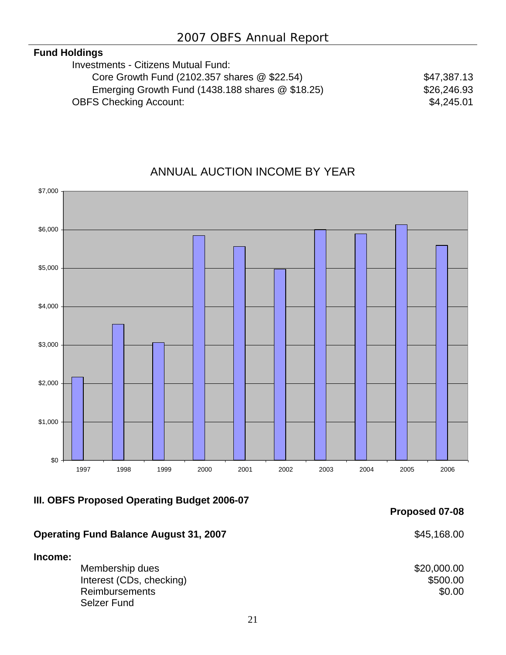# **Fund Holdings**

| <b>Investments - Citizens Mutual Fund:</b>       |             |
|--------------------------------------------------|-------------|
| Core Growth Fund (2102.357 shares @ \$22.54)     | \$47,387.13 |
| Emerging Growth Fund (1438.188 shares @ \$18.25) | \$26,246.93 |
| <b>OBFS Checking Account:</b>                    | \$4,245.01  |
|                                                  |             |

# ANNUAL AUCTION INCOME BY YEAR



# **III. OBFS Proposed Operating Budget 2006-07**

# **Operating Fund Balance August 31, 2007 \$45,168.00**

# **Income:**

**Membership dues**  $$20,000.00$ **Interest (CDs, checking)**  $$500.00$ **Reimbursements** \$0.00 Selzer Fund

**Proposed 07-08**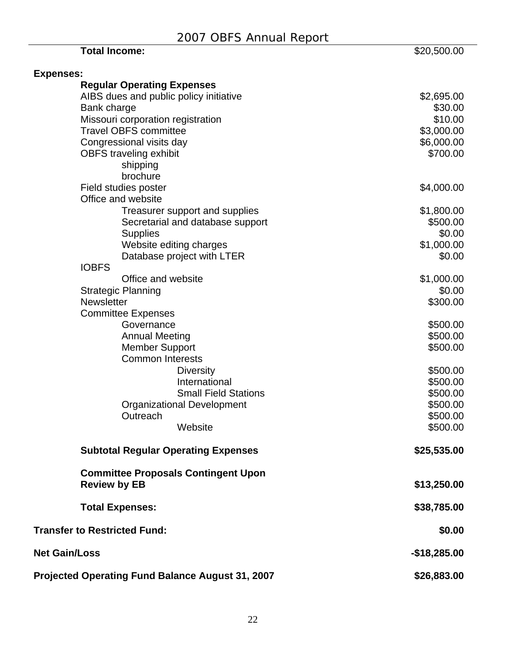| <b>Total Income:</b>                             | \$20,500.00   |
|--------------------------------------------------|---------------|
| <b>Expenses:</b>                                 |               |
| <b>Regular Operating Expenses</b>                |               |
| AIBS dues and public policy initiative           | \$2,695.00    |
| Bank charge                                      | \$30.00       |
| Missouri corporation registration                | \$10.00       |
| <b>Travel OBFS committee</b>                     | \$3,000.00    |
| Congressional visits day                         | \$6,000.00    |
| <b>OBFS</b> traveling exhibit                    | \$700.00      |
| shipping                                         |               |
| brochure                                         |               |
| Field studies poster                             | \$4,000.00    |
| Office and website                               |               |
| Treasurer support and supplies                   | \$1,800.00    |
| Secretarial and database support                 | \$500.00      |
| <b>Supplies</b>                                  | \$0.00        |
| Website editing charges                          | \$1,000.00    |
| Database project with LTER                       | \$0.00        |
| <b>IOBFS</b>                                     |               |
| Office and website                               | \$1,000.00    |
| <b>Strategic Planning</b>                        | \$0.00        |
| <b>Newsletter</b>                                | \$300.00      |
| <b>Committee Expenses</b>                        |               |
| Governance                                       | \$500.00      |
| <b>Annual Meeting</b>                            | \$500.00      |
| <b>Member Support</b>                            | \$500.00      |
| <b>Common Interests</b>                          |               |
| <b>Diversity</b>                                 | \$500.00      |
| International                                    | \$500.00      |
| <b>Small Field Stations</b>                      | \$500.00      |
| <b>Organizational Development</b>                | \$500.00      |
| Outreach                                         | \$500.00      |
| Website                                          | \$500.00      |
| <b>Subtotal Regular Operating Expenses</b>       | \$25,535.00   |
| <b>Committee Proposals Contingent Upon</b>       |               |
| <b>Review by EB</b>                              | \$13,250.00   |
| <b>Total Expenses:</b>                           | \$38,785.00   |
| <b>Transfer to Restricted Fund:</b>              | \$0.00        |
| <b>Net Gain/Loss</b>                             | $-$18,285.00$ |
| Projected Operating Fund Balance August 31, 2007 | \$26,883.00   |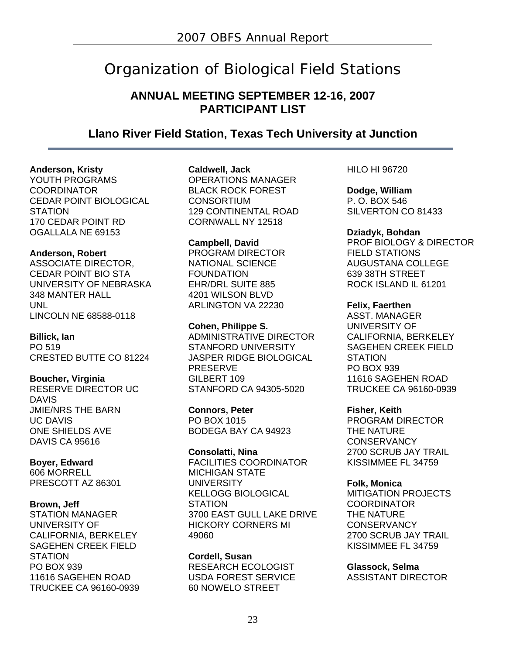# Organization of Biological Field Stations

# **ANNUAL MEETING SEPTEMBER 12-16, 2007 PARTICIPANT LIST**

# **Llano River Field Station, Texas Tech University at Junction**

# **Anderson, Kristy**

YOUTH PROGRAMS **COORDINATOR** CEDAR POINT BIOLOGICAL **STATION** 170 CEDAR POINT RD OGALLALA NE 69153

# **Anderson, Robert**

ASSOCIATE DIRECTOR, CEDAR POINT BIO STA UNIVERSITY OF NEBRASKA 348 MANTER HALL UNL LINCOLN NE 68588-0118

# **Billick, Ian**

PO 519 CRESTED BUTTE CO 81224

# **Boucher, Virginia**

RESERVE DIRECTOR UC DAVIS JMIE/NRS THE BARN UC DAVIS ONE SHIELDS AVE DAVIS CA 95616

# **Boyer, Edward**

606 MORRELL PRESCOTT AZ 86301

# **Brown, Jeff**

STATION MANAGER UNIVERSITY OF CALIFORNIA, BERKELEY SAGEHEN CREEK FIELD **STATION** PO BOX 939 11616 SAGEHEN ROAD TRUCKEE CA 96160-0939 **Caldwell, Jack**  OPERATIONS MANAGER BLACK ROCK FOREST **CONSORTIUM** 129 CONTINENTAL ROAD

**Campbell, David**  PROGRAM DIRECTOR NATIONAL SCIENCE FOUNDATION EHR/DRL SUITE 885 4201 WILSON BLVD ARLINGTON VA 22230

CORNWALL NY 12518

**Cohen, Philippe S.**  ADMINISTRATIVE DIRECTOR STANFORD UNIVERSITY JASPER RIDGE BIOLOGICAL PRESERVE GILBERT 109 STANFORD CA 94305-5020

**Connors, Peter**  PO BOX 1015 BODEGA BAY CA 94923

**Consolatti, Nina**  FACILITIES COORDINATOR MICHIGAN STATE UNIVERSITY KELLOGG BIOLOGICAL **STATION** 3700 EAST GULL LAKE DRIVE HICKORY CORNERS MI 49060

**Cordell, Susan**  RESEARCH ECOLOGIST USDA FOREST SERVICE 60 NOWELO STREET

HILO HI 96720

**Dodge, William**  P. O. BOX 546 SILVERTON CO 81433

**Dziadyk, Bohdan**  PROF BIOLOGY & DIRECTOR FIELD STATIONS AUGUSTANA COLLEGE 639 38TH STREET ROCK ISLAND IL 61201

# **Felix, Faerthen**

ASST. MANAGER UNIVERSITY OF CALIFORNIA, BERKELEY SAGEHEN CREEK FIELD **STATION** PO BOX 939 11616 SAGEHEN ROAD TRUCKEE CA 96160-0939

**Fisher, Keith** 

PROGRAM DIRECTOR THE NATURE **CONSERVANCY** 2700 SCRUB JAY TRAIL KISSIMMEE FL 34759

# **Folk, Monica**

MITIGATION PROJECTS **COORDINATOR** THE NATURE **CONSERVANCY** 2700 SCRUB JAY TRAIL KISSIMMEE FL 34759

**Glassock, Selma**  ASSISTANT DIRECTOR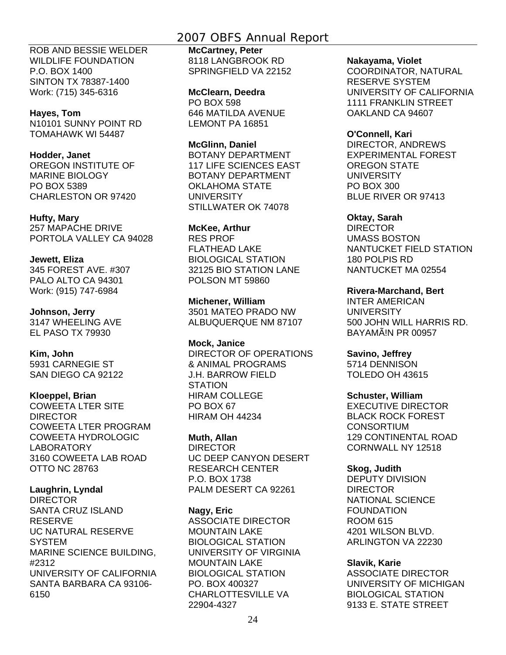# 2007 OBFS Annual Report

ROB AND BESSIE WELDER WILDLIFE FOUNDATION P.O. BOX 1400 SINTON TX 78387-1400 Work: (715) 345-6316

# **Hayes, Tom**

N10101 SUNNY POINT RD TOMAHAWK WI 54487

# **Hodder, Janet**

OREGON INSTITUTE OF MARINE BIOLOGY PO BOX 5389 CHARLESTON OR 97420

# **Hufty, Mary**

257 MAPACHE DRIVE PORTOLA VALLEY CA 94028

# **Jewett, Eliza**

345 FOREST AVE. #307 PALO ALTO CA 94301 Work: (915) 747-6984

# **Johnson, Jerry**

3147 WHEELING AVE EL PASO TX 79930

# **Kim, John**

5931 CARNEGIE ST SAN DIEGO CA 92122

# **Kloeppel, Brian**

COWEETA LTER SITE DIRECTOR COWEETA LTER PROGRAM COWEETA HYDROLOGIC LABORATORY 3160 COWEETA LAB ROAD OTTO NC 28763

# **Laughrin, Lyndal**

DIRECTOR SANTA CRUZ ISLAND RESERVE UC NATURAL RESERVE **SYSTEM** MARINE SCIENCE BUILDING, #2312 UNIVERSITY OF CALIFORNIA SANTA BARBARA CA 93106- 6150

**McCartney, Peter**  8118 LANGBROOK RD SPRINGFIELD VA 22152

**McClearn, Deedra**  PO BOX 598 646 MATILDA AVENUE LEMONT PA 16851

**McGlinn, Daniel**  BOTANY DEPARTMENT 117 LIFE SCIENCES EAST BOTANY DEPARTMENT OKLAHOMA STATE **UNIVERSITY** STILLWATER OK 74078

# **McKee, Arthur**

RES PROF FLATHEAD LAKE BIOLOGICAL STATION 32125 BIO STATION LANE POLSON MT 59860

**Michener, William**  3501 MATEO PRADO NW ALBUQUERQUE NM 87107

**Mock, Janice**  DIRECTOR OF OPERATIONS & ANIMAL PROGRAMS J.H. BARROW FIELD **STATION** HIRAM COLLEGE PO BOX 67 HIRAM OH 44234

**Muth, Allan**  DIRECTOR UC DEEP CANYON DESERT RESEARCH CENTER P.O. BOX 1738 PALM DESERT CA 92261

**Nagy, Eric**  ASSOCIATE DIRECTOR MOUNTAIN LAKE BIOLOGICAL STATION UNIVERSITY OF VIRGINIA MOUNTAIN LAKE BIOLOGICAL STATION PO. BOX 400327 CHARLOTTESVILLE VA 22904-4327

### **Nakayama, Violet**

COORDINATOR, NATURAL RESERVE SYSTEM UNIVERSITY OF CALIFORNIA 1111 FRANKLIN STREET OAKLAND CA 94607

### **O'Connell, Kari**

DIRECTOR, ANDREWS EXPERIMENTAL FOREST OREGON STATE UNIVERSITY PO BOX 300 BLUE RIVER OR 97413

# **Oktay, Sarah**

DIRECTOR UMASS BOSTON NANTUCKET FIELD STATION 180 POLPIS RD NANTUCKET MA 02554

# **Rivera-Marchand, Bert**

INTER AMERICAN UNIVERSITY 500 JOHN WILL HARRIS RD. BAYAMÃ!N PR 00957

# **Savino, Jeffrey**

5714 DENNISON TOLEDO OH 43615

# **Schuster, William**

EXECUTIVE DIRECTOR BLACK ROCK FOREST CONSORTIUM 129 CONTINENTAL ROAD CORNWALL NY 12518

# **Skog, Judith**

DEPUTY DIVISION DIRECTOR NATIONAL SCIENCE FOUNDATION ROOM 615 4201 WILSON BLVD. ARLINGTON VA 22230

# **Slavik, Karie**

ASSOCIATE DIRECTOR UNIVERSITY OF MICHIGAN BIOLOGICAL STATION 9133 E. STATE STREET